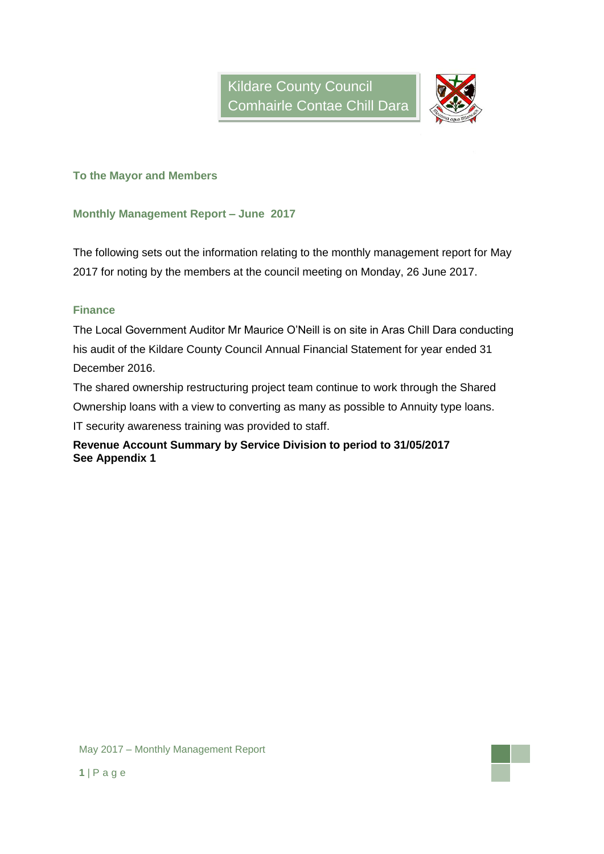

**To the Mayor and Members**

### **Monthly Management Report – June 2017**

The following sets out the information relating to the monthly management report for May 2017 for noting by the members at the council meeting on Monday, 26 June 2017.

## **Finance**

The Local Government Auditor Mr Maurice O'Neill is on site in Aras Chill Dara conducting his audit of the Kildare County Council Annual Financial Statement for year ended 31 December 2016.

The shared ownership restructuring project team continue to work through the Shared Ownership loans with a view to converting as many as possible to Annuity type loans. IT security awareness training was provided to staff.

## **Revenue Account Summary by Service Division to period to 31/05/2017 See Appendix 1**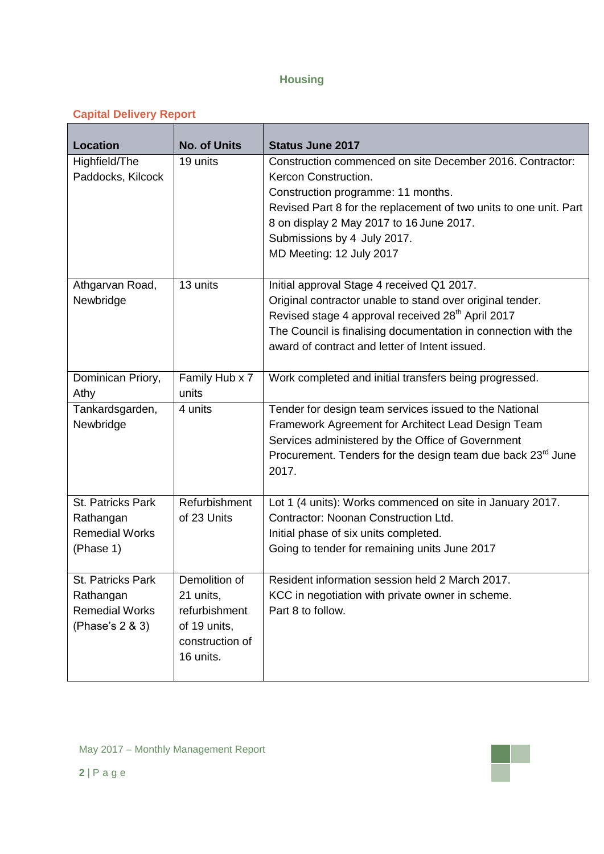# **Housing**

# **Capital Delivery Report**

| <b>Location</b>       | <b>No. of Units</b> | <b>Status June 2017</b>                                                                                       |
|-----------------------|---------------------|---------------------------------------------------------------------------------------------------------------|
| Highfield/The         | 19 units            | Construction commenced on site December 2016. Contractor:                                                     |
| Paddocks, Kilcock     |                     | Kercon Construction.                                                                                          |
|                       |                     | Construction programme: 11 months.                                                                            |
|                       |                     | Revised Part 8 for the replacement of two units to one unit. Part<br>8 on display 2 May 2017 to 16 June 2017. |
|                       |                     | Submissions by 4 July 2017.                                                                                   |
|                       |                     | MD Meeting: 12 July 2017                                                                                      |
|                       |                     |                                                                                                               |
| Athgarvan Road,       | 13 units            | Initial approval Stage 4 received Q1 2017.                                                                    |
| Newbridge             |                     | Original contractor unable to stand over original tender.                                                     |
|                       |                     | Revised stage 4 approval received 28 <sup>th</sup> April 2017                                                 |
|                       |                     | The Council is finalising documentation in connection with the                                                |
|                       |                     | award of contract and letter of Intent issued.                                                                |
| Dominican Priory,     | Family Hub x 7      | Work completed and initial transfers being progressed.                                                        |
| Athy                  | units               |                                                                                                               |
| Tankardsgarden,       | 4 units             | Tender for design team services issued to the National                                                        |
| Newbridge             |                     | Framework Agreement for Architect Lead Design Team                                                            |
|                       |                     | Services administered by the Office of Government                                                             |
|                       |                     | Procurement. Tenders for the design team due back 23 <sup>rd</sup> June                                       |
|                       |                     | 2017.                                                                                                         |
| St. Patricks Park     | Refurbishment       | Lot 1 (4 units): Works commenced on site in January 2017.                                                     |
| Rathangan             | of 23 Units         | Contractor: Noonan Construction Ltd.                                                                          |
| <b>Remedial Works</b> |                     | Initial phase of six units completed.                                                                         |
| (Phase 1)             |                     | Going to tender for remaining units June 2017                                                                 |
|                       |                     |                                                                                                               |
| St. Patricks Park     | Demolition of       | Resident information session held 2 March 2017.                                                               |
| Rathangan             | 21 units,           | KCC in negotiation with private owner in scheme.                                                              |
| <b>Remedial Works</b> | refurbishment       | Part 8 to follow.                                                                                             |
| (Phase's 2 & 3)       | of 19 units,        |                                                                                                               |
|                       | construction of     |                                                                                                               |
|                       | 16 units.           |                                                                                                               |
|                       |                     |                                                                                                               |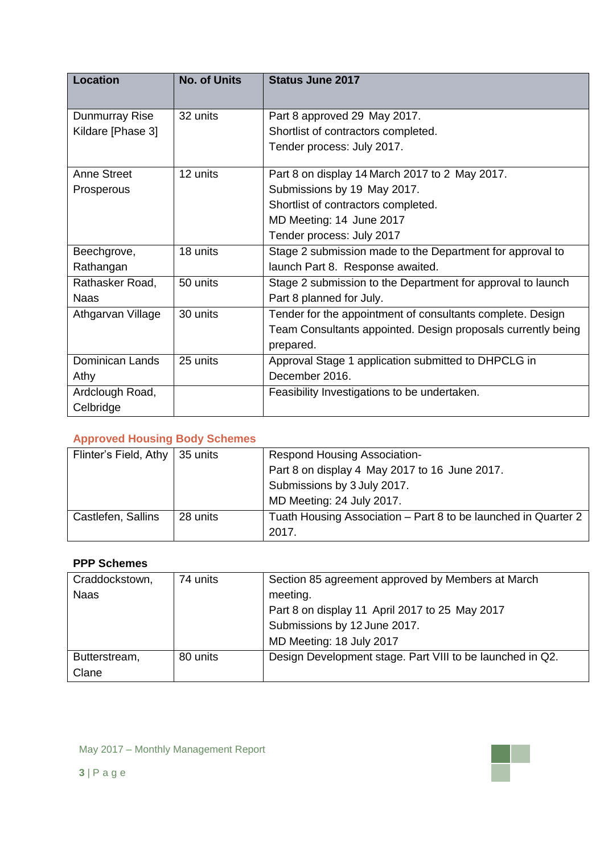| Location               | <b>No. of Units</b> | <b>Status June 2017</b>                                      |
|------------------------|---------------------|--------------------------------------------------------------|
|                        |                     |                                                              |
| Dunmurray Rise         | 32 units            | Part 8 approved 29 May 2017.                                 |
| Kildare [Phase 3]      |                     | Shortlist of contractors completed.                          |
|                        |                     | Tender process: July 2017.                                   |
| Anne Street            | 12 units            | Part 8 on display 14 March 2017 to 2 May 2017.               |
| Prosperous             |                     | Submissions by 19 May 2017.                                  |
|                        |                     | Shortlist of contractors completed.                          |
|                        |                     | MD Meeting: 14 June 2017                                     |
|                        |                     | Tender process: July 2017                                    |
| Beechgrove,            | 18 units            | Stage 2 submission made to the Department for approval to    |
| Rathangan              |                     | launch Part 8. Response awaited.                             |
| Rathasker Road,        | 50 units            | Stage 2 submission to the Department for approval to launch  |
| <b>Naas</b>            |                     | Part 8 planned for July.                                     |
| Athgarvan Village      | 30 units            | Tender for the appointment of consultants complete. Design   |
|                        |                     | Team Consultants appointed. Design proposals currently being |
|                        |                     | prepared.                                                    |
| <b>Dominican Lands</b> | 25 units            | Approval Stage 1 application submitted to DHPCLG in          |
| Athy                   |                     | December 2016.                                               |
| Ardclough Road,        |                     | Feasibility Investigations to be undertaken.                 |
| Celbridge              |                     |                                                              |

## **Approved Housing Body Schemes**

| Flinter's Field, Athy | 35 units | <b>Respond Housing Association-</b>                            |
|-----------------------|----------|----------------------------------------------------------------|
|                       |          | Part 8 on display 4 May 2017 to 16 June 2017.                  |
|                       |          | Submissions by 3 July 2017.                                    |
|                       |          | MD Meeting: 24 July 2017.                                      |
| Castlefen, Sallins    | 28 units | Tuath Housing Association – Part 8 to be launched in Quarter 2 |
|                       |          | 2017.                                                          |

## **PPP Schemes**

| Craddockstown, | 74 units | Section 85 agreement approved by Members at March         |
|----------------|----------|-----------------------------------------------------------|
| <b>Naas</b>    |          | meeting.                                                  |
|                |          | Part 8 on display 11 April 2017 to 25 May 2017            |
|                |          | Submissions by 12 June 2017.                              |
|                |          | MD Meeting: 18 July 2017                                  |
| Butterstream,  | 80 units | Design Development stage. Part VIII to be launched in Q2. |
| Clane          |          |                                                           |

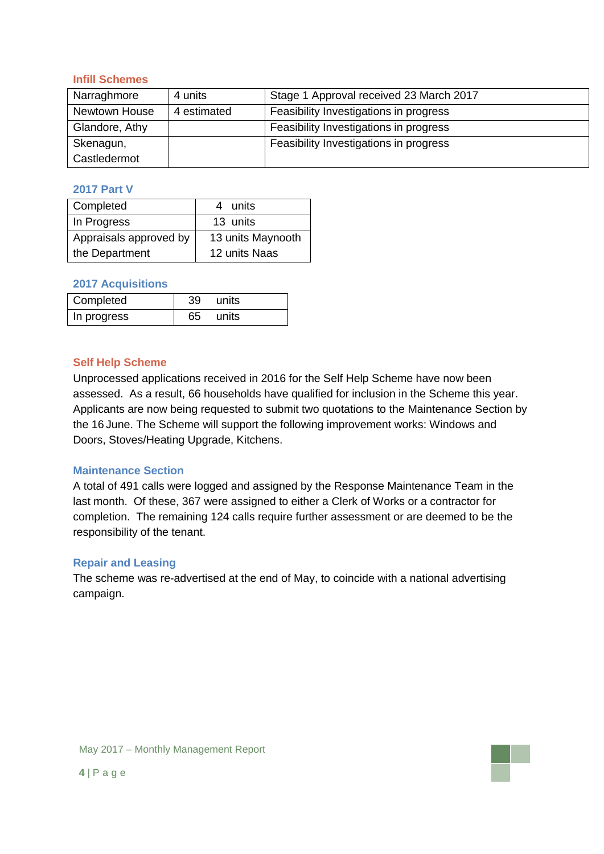### **Infill Schemes**

| Narraghmore    | 4 units     | Stage 1 Approval received 23 March 2017 |
|----------------|-------------|-----------------------------------------|
| Newtown House  | 4 estimated | Feasibility Investigations in progress  |
| Glandore, Athy |             | Feasibility Investigations in progress  |
| Skenagun,      |             | Feasibility Investigations in progress  |
| Castledermot   |             |                                         |

### **2017 Part V**

| Completed              | units<br>4        |  |  |
|------------------------|-------------------|--|--|
| In Progress            | 13 units          |  |  |
| Appraisals approved by | 13 units Maynooth |  |  |
| the Department         | 12 units Naas     |  |  |

#### **2017 Acquisitions**

| Completed   | 39 | units |
|-------------|----|-------|
| In progress | 65 | units |

### **Self Help Scheme**

Unprocessed applications received in 2016 for the Self Help Scheme have now been assessed. As a result, 66 households have qualified for inclusion in the Scheme this year. Applicants are now being requested to submit two quotations to the Maintenance Section by the 16 June. The Scheme will support the following improvement works: Windows and Doors, Stoves/Heating Upgrade, Kitchens.

### **Maintenance Section**

A total of 491 calls were logged and assigned by the Response Maintenance Team in the last month. Of these, 367 were assigned to either a Clerk of Works or a contractor for completion. The remaining 124 calls require further assessment or are deemed to be the responsibility of the tenant.

#### **Repair and Leasing**

The scheme was re-advertised at the end of May, to coincide with a national advertising campaign.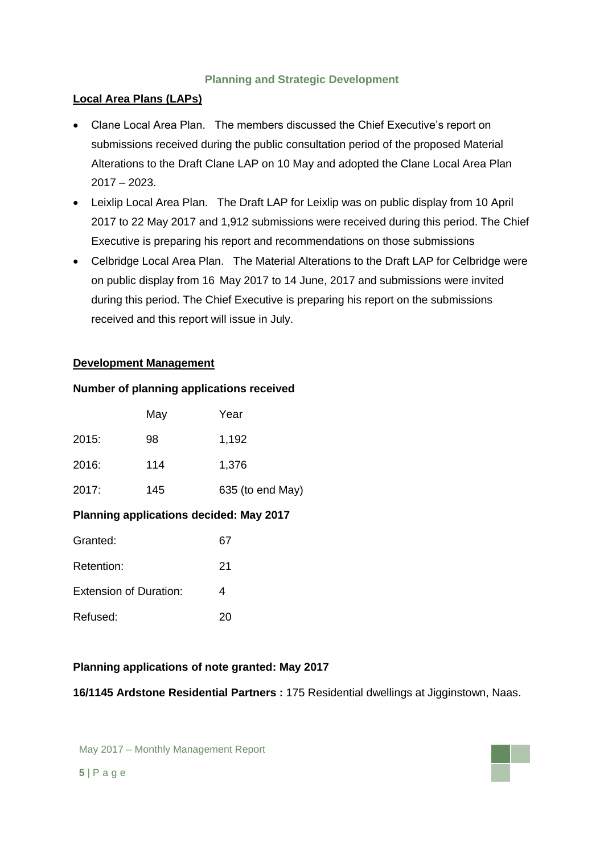## **Planning and Strategic Development**

## **Local Area Plans (LAPs)**

- Clane Local Area Plan. The members discussed the Chief Executive's report on submissions received during the public consultation period of the proposed Material Alterations to the Draft Clane LAP on 10 May and adopted the Clane Local Area Plan 2017 – 2023.
- Leixlip Local Area Plan. The Draft LAP for Leixlip was on public display from 10 April 2017 to 22 May 2017 and 1,912 submissions were received during this period. The Chief Executive is preparing his report and recommendations on those submissions
- Celbridge Local Area Plan. The Material Alterations to the Draft LAP for Celbridge were on public display from 16 May 2017 to 14 June, 2017 and submissions were invited during this period. The Chief Executive is preparing his report on the submissions received and this report will issue in July.

## **Development Management**

### **Number of planning applications received**

|       | May | Year             |
|-------|-----|------------------|
| 2015: | 98  | 1,192            |
| 2016: | 114 | 1,376            |
| 2017: | 145 | 635 (to end May) |

## **Planning applications decided: May 2017**

| Granted:                      | 67 |
|-------------------------------|----|
| Retention:                    | 21 |
| <b>Extension of Duration:</b> | Δ  |
| Refused:                      | 20 |

## **Planning applications of note granted: May 2017**

**16/1145 Ardstone Residential Partners :** 175 Residential dwellings at Jigginstown, Naas.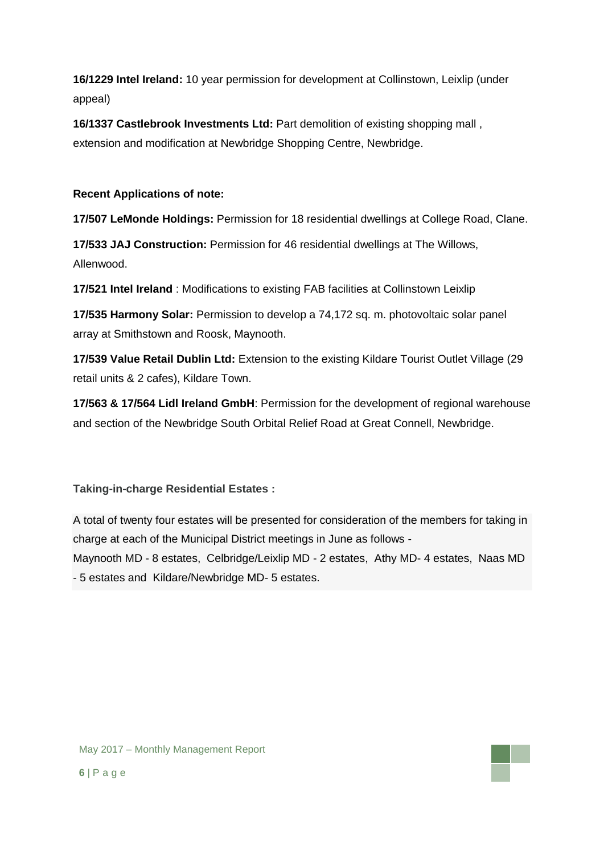**16/1229 Intel Ireland:** 10 year permission for development at Collinstown, Leixlip (under appeal)

**16/1337 Castlebrook Investments Ltd:** Part demolition of existing shopping mall , extension and modification at Newbridge Shopping Centre, Newbridge.

## **Recent Applications of note:**

**17/507 LeMonde Holdings:** Permission for 18 residential dwellings at College Road, Clane.

**17/533 JAJ Construction:** Permission for 46 residential dwellings at The Willows, Allenwood.

**17/521 Intel Ireland** : Modifications to existing FAB facilities at Collinstown Leixlip

**17/535 Harmony Solar:** Permission to develop a 74,172 sq. m. photovoltaic solar panel array at Smithstown and Roosk, Maynooth.

**17/539 Value Retail Dublin Ltd:** Extension to the existing Kildare Tourist Outlet Village (29 retail units & 2 cafes), Kildare Town.

**17/563 & 17/564 Lidl Ireland GmbH**: Permission for the development of regional warehouse and section of the Newbridge South Orbital Relief Road at Great Connell, Newbridge.

## **Taking-in-charge Residential Estates :**

A total of twenty four estates will be presented for consideration of the members for taking in charge at each of the Municipal District meetings in June as follows -

Maynooth MD - 8 estates, Celbridge/Leixlip MD - 2 estates, Athy MD- 4 estates, Naas MD - 5 estates and Kildare/Newbridge MD- 5 estates.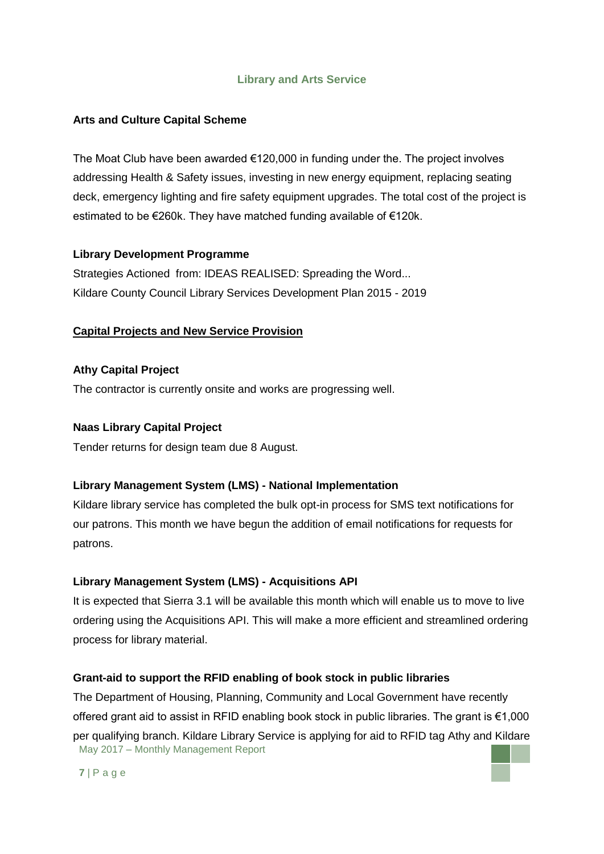## **Library and Arts Service**

## **Arts and Culture Capital Scheme**

The Moat Club have been awarded €120,000 in funding under the. The project involves addressing Health & Safety issues, investing in new energy equipment, replacing seating deck, emergency lighting and fire safety equipment upgrades. The total cost of the project is estimated to be €260k. They have matched funding available of €120k.

### **Library Development Programme**

Strategies Actioned from: IDEAS REALISED: Spreading the Word... Kildare County Council Library Services Development Plan 2015 - 2019

### **Capital Projects and New Service Provision**

### **Athy Capital Project**

The contractor is currently onsite and works are progressing well.

### **Naas Library Capital Project**

Tender returns for design team due 8 August.

## **Library Management System (LMS) - National Implementation**

Kildare library service has completed the bulk opt-in process for SMS text notifications for our patrons. This month we have begun the addition of email notifications for requests for patrons.

### **Library Management System (LMS) - Acquisitions API**

It is expected that Sierra 3.1 will be available this month which will enable us to move to live ordering using the Acquisitions API. This will make a more efficient and streamlined ordering process for library material.

### **Grant-aid to support the RFID enabling of book stock in public libraries**

May 2017 – Monthly Management Report The Department of Housing, Planning, Community and Local Government have recently offered grant aid to assist in RFID enabling book stock in public libraries. The grant is €1,000 per qualifying branch. Kildare Library Service is applying for aid to RFID tag Athy and Kildare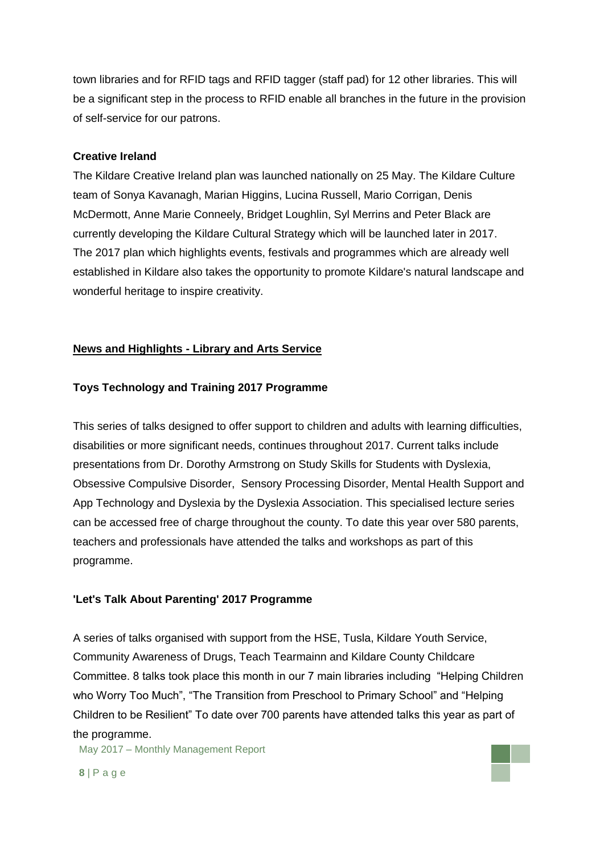town libraries and for RFID tags and RFID tagger (staff pad) for 12 other libraries. This will be a significant step in the process to RFID enable all branches in the future in the provision of self-service for our patrons.

#### **Creative Ireland**

The Kildare Creative Ireland plan was launched nationally on 25 May. The Kildare Culture team of Sonya Kavanagh, Marian Higgins, Lucina Russell, Mario Corrigan, Denis McDermott, Anne Marie Conneely, Bridget Loughlin, Syl Merrins and Peter Black are currently developing the Kildare Cultural Strategy which will be launched later in 2017. The 2017 plan which highlights events, festivals and programmes which are already well established in Kildare also takes the opportunity to promote Kildare's natural landscape and wonderful heritage to inspire creativity.

### **News and Highlights - Library and Arts Service**

### **Toys Technology and Training 2017 Programme**

This series of talks designed to offer support to children and adults with learning difficulties, disabilities or more significant needs, continues throughout 2017. Current talks include presentations from Dr. Dorothy Armstrong on Study Skills for Students with Dyslexia, Obsessive Compulsive Disorder, Sensory Processing Disorder, Mental Health Support and App Technology and Dyslexia by the Dyslexia Association. This specialised lecture series can be accessed free of charge throughout the county. To date this year over 580 parents, teachers and professionals have attended the talks and workshops as part of this programme.

#### **'Let's Talk About Parenting' 2017 Programme**

A series of talks organised with support from the HSE, Tusla, Kildare Youth Service, Community Awareness of Drugs, Teach Tearmainn and Kildare County Childcare Committee. 8 talks took place this month in our 7 main libraries including "Helping Children who Worry Too Much", "The Transition from Preschool to Primary School" and "Helping Children to be Resilient" To date over 700 parents have attended talks this year as part of the programme.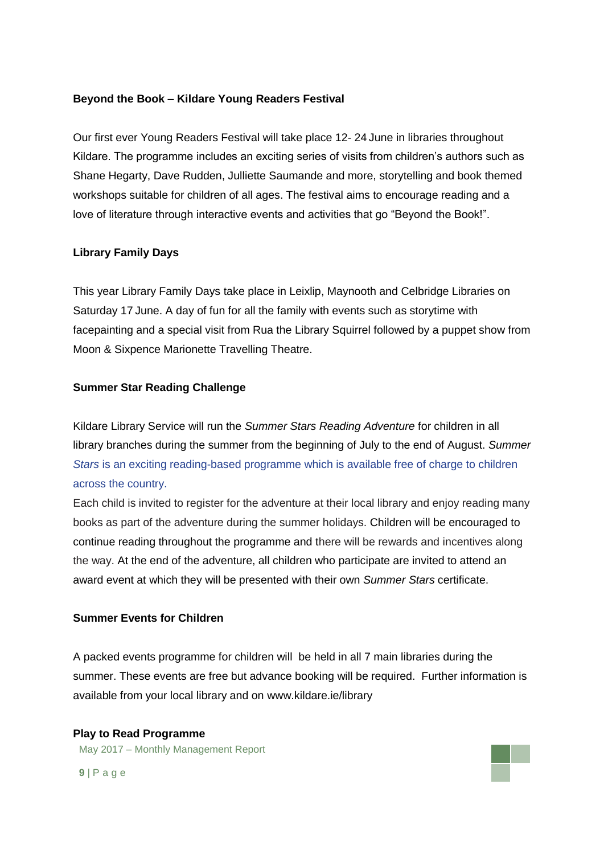### **Beyond the Book – Kildare Young Readers Festival**

Our first ever Young Readers Festival will take place 12- 24 June in libraries throughout Kildare. The programme includes an exciting series of visits from children's authors such as Shane Hegarty, Dave Rudden, Julliette Saumande and more, storytelling and book themed workshops suitable for children of all ages. The festival aims to encourage reading and a love of literature through interactive events and activities that go "Beyond the Book!".

### **Library Family Days**

This year Library Family Days take place in Leixlip, Maynooth and Celbridge Libraries on Saturday 17 June. A day of fun for all the family with events such as storytime with facepainting and a special visit from Rua the Library Squirrel followed by a puppet show from Moon & Sixpence Marionette Travelling Theatre.

### **Summer Star Reading Challenge**

Kildare Library Service will run the *Summer Stars Reading Adventure* for children in all library branches during the summer from the beginning of July to the end of August. *Summer Stars* is an exciting reading-based programme which is available free of charge to children across the country.

Each child is invited to register for the adventure at their local library and enjoy reading many books as part of the adventure during the summer holidays. Children will be encouraged to continue reading throughout the programme and there will be rewards and incentives along the way. At the end of the adventure, all children who participate are invited to attend an award event at which they will be presented with their own *Summer Stars* certificate.

#### **Summer Events for Children**

A packed events programme for children will be held in all 7 main libraries during the summer. These events are free but advance booking will be required. Further information is available from your local library and on www.kildare.ie/library

### **Play to Read Programme**

May 2017 – Monthly Management Report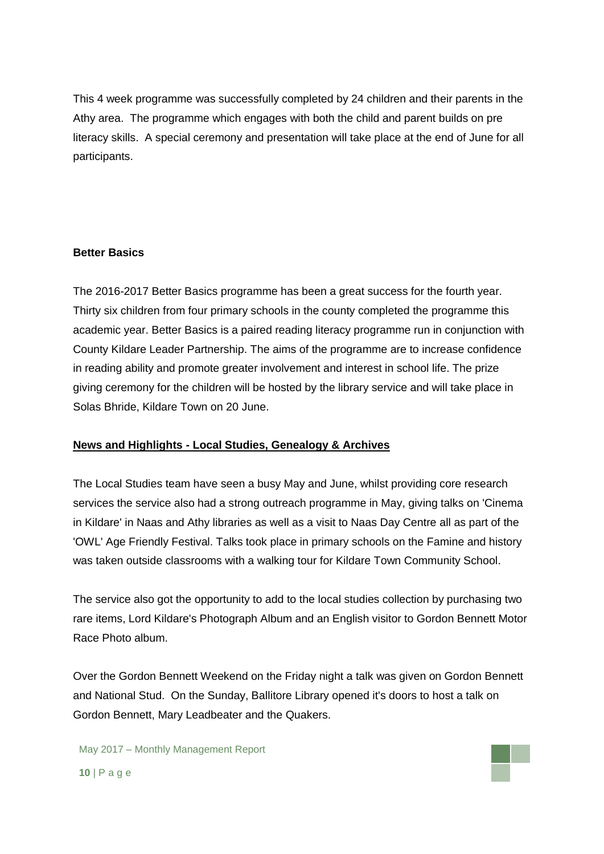This 4 week programme was successfully completed by 24 children and their parents in the Athy area. The programme which engages with both the child and parent builds on pre literacy skills. A special ceremony and presentation will take place at the end of June for all participants.

### **Better Basics**

The 2016-2017 Better Basics programme has been a great success for the fourth year. Thirty six children from four primary schools in the county completed the programme this academic year. Better Basics is a paired reading literacy programme run in conjunction with County Kildare Leader Partnership. The aims of the programme are to increase confidence in reading ability and promote greater involvement and interest in school life. The prize giving ceremony for the children will be hosted by the library service and will take place in Solas Bhride, Kildare Town on 20 June.

### **News and Highlights - Local Studies, Genealogy & Archives**

The Local Studies team have seen a busy May and June, whilst providing core research services the service also had a strong outreach programme in May, giving talks on 'Cinema in Kildare' in Naas and Athy libraries as well as a visit to Naas Day Centre all as part of the 'OWL' Age Friendly Festival. Talks took place in primary schools on the Famine and history was taken outside classrooms with a walking tour for Kildare Town Community School.

The service also got the opportunity to add to the local studies collection by purchasing two rare items, Lord Kildare's Photograph Album and an English visitor to Gordon Bennett Motor Race Photo album.

Over the Gordon Bennett Weekend on the Friday night a talk was given on Gordon Bennett and National Stud. On the Sunday, Ballitore Library opened it's doors to host a talk on Gordon Bennett, Mary Leadbeater and the Quakers.

May 2017 – Monthly Management Report **10** | P a g e

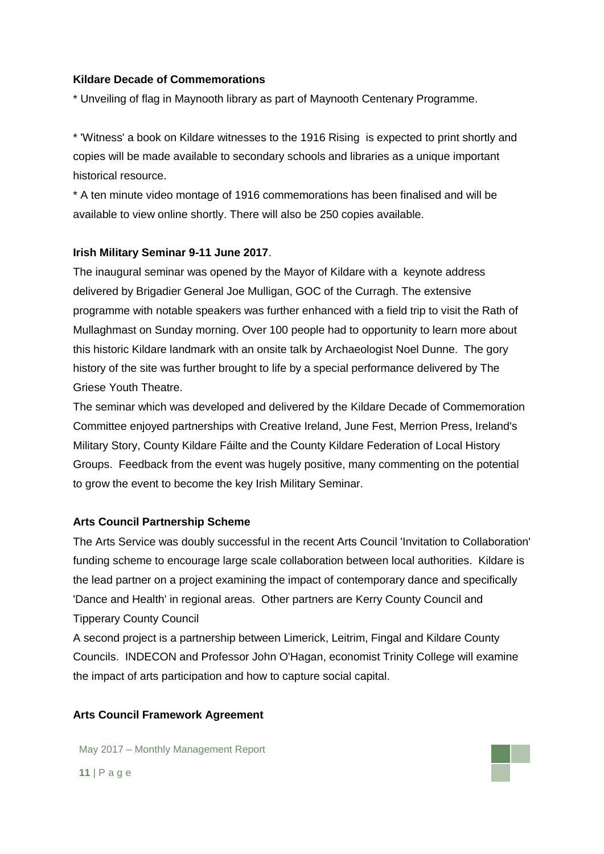### **Kildare Decade of Commemorations**

\* Unveiling of flag in Maynooth library as part of Maynooth Centenary Programme.

\* 'Witness' a book on Kildare witnesses to the 1916 Rising is expected to print shortly and copies will be made available to secondary schools and libraries as a unique important historical resource.

\* A ten minute video montage of 1916 commemorations has been finalised and will be available to view online shortly. There will also be 250 copies available.

### **Irish Military Seminar 9-11 June 2017**.

The inaugural seminar was opened by the Mayor of Kildare with a keynote address delivered by Brigadier General Joe Mulligan, GOC of the Curragh. The extensive programme with notable speakers was further enhanced with a field trip to visit the Rath of Mullaghmast on Sunday morning. Over 100 people had to opportunity to learn more about this historic Kildare landmark with an onsite talk by Archaeologist Noel Dunne. The gory history of the site was further brought to life by a special performance delivered by The Griese Youth Theatre.

The seminar which was developed and delivered by the Kildare Decade of Commemoration Committee enjoyed partnerships with Creative Ireland, June Fest, Merrion Press, Ireland's Military Story, County Kildare Fáilte and the County Kildare Federation of Local History Groups. Feedback from the event was hugely positive, many commenting on the potential to grow the event to become the key Irish Military Seminar.

#### **Arts Council Partnership Scheme**

The Arts Service was doubly successful in the recent Arts Council 'Invitation to Collaboration' funding scheme to encourage large scale collaboration between local authorities. Kildare is the lead partner on a project examining the impact of contemporary dance and specifically 'Dance and Health' in regional areas. Other partners are Kerry County Council and Tipperary County Council

A second project is a partnership between Limerick, Leitrim, Fingal and Kildare County Councils. INDECON and Professor John O'Hagan, economist Trinity College will examine the impact of arts participation and how to capture social capital.

#### **Arts Council Framework Agreement**

May 2017 – Monthly Management Report **11** | P a g e

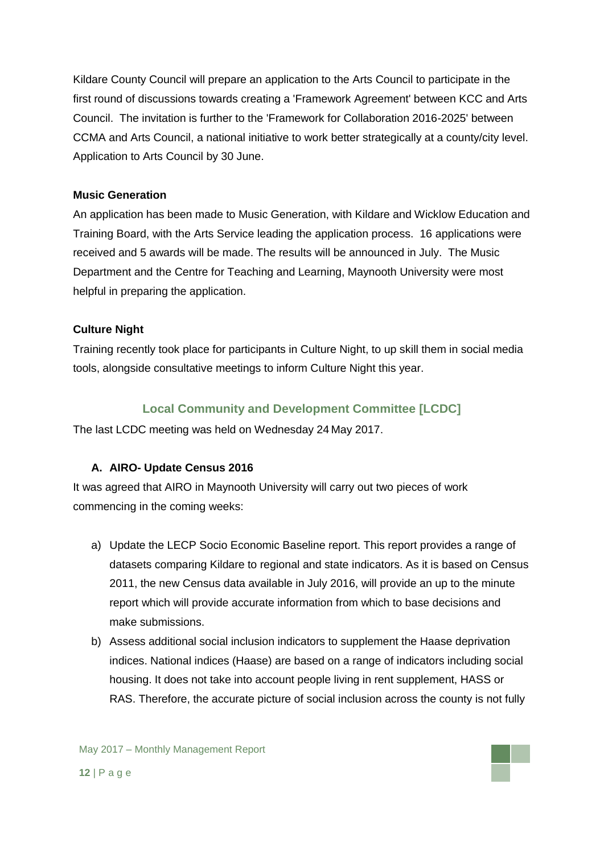Kildare County Council will prepare an application to the Arts Council to participate in the first round of discussions towards creating a 'Framework Agreement' between KCC and Arts Council. The invitation is further to the 'Framework for Collaboration 2016-2025' between CCMA and Arts Council, a national initiative to work better strategically at a county/city level. Application to Arts Council by 30 June.

## **Music Generation**

An application has been made to Music Generation, with Kildare and Wicklow Education and Training Board, with the Arts Service leading the application process. 16 applications were received and 5 awards will be made. The results will be announced in July. The Music Department and the Centre for Teaching and Learning, Maynooth University were most helpful in preparing the application.

## **Culture Night**

Training recently took place for participants in Culture Night, to up skill them in social media tools, alongside consultative meetings to inform Culture Night this year.

## **Local Community and Development Committee [LCDC]**

The last LCDC meeting was held on Wednesday 24 May 2017.

## **A. AIRO- Update Census 2016**

It was agreed that AIRO in Maynooth University will carry out two pieces of work commencing in the coming weeks:

- a) Update the LECP Socio Economic Baseline report. This report provides a range of datasets comparing Kildare to regional and state indicators. As it is based on Census 2011, the new Census data available in July 2016, will provide an up to the minute report which will provide accurate information from which to base decisions and make submissions.
- b) Assess additional social inclusion indicators to supplement the Haase deprivation indices. National indices (Haase) are based on a range of indicators including social housing. It does not take into account people living in rent supplement, HASS or RAS. Therefore, the accurate picture of social inclusion across the county is not fully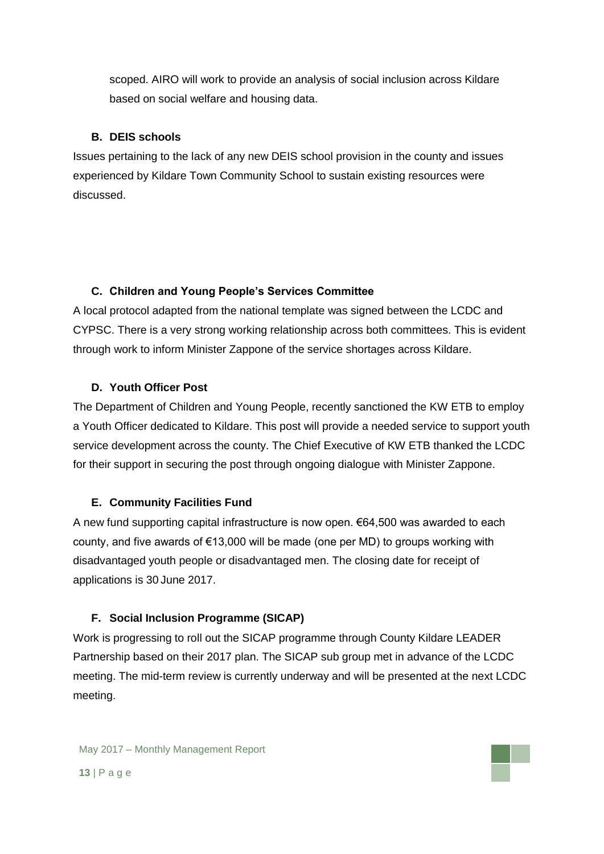scoped. AIRO will work to provide an analysis of social inclusion across Kildare based on social welfare and housing data.

## **B. DEIS schools**

Issues pertaining to the lack of any new DEIS school provision in the county and issues experienced by Kildare Town Community School to sustain existing resources were discussed.

## **C. Children and Young People's Services Committee**

A local protocol adapted from the national template was signed between the LCDC and CYPSC. There is a very strong working relationship across both committees. This is evident through work to inform Minister Zappone of the service shortages across Kildare.

## **D. Youth Officer Post**

The Department of Children and Young People, recently sanctioned the KW ETB to employ a Youth Officer dedicated to Kildare. This post will provide a needed service to support youth service development across the county. The Chief Executive of KW ETB thanked the LCDC for their support in securing the post through ongoing dialogue with Minister Zappone.

### **E. Community Facilities Fund**

A new fund supporting capital infrastructure is now open. €64,500 was awarded to each county, and five awards of €13,000 will be made (one per MD) to groups working with disadvantaged youth people or disadvantaged men. The closing date for receipt of applications is 30 June 2017.

### **F. Social Inclusion Programme (SICAP)**

Work is progressing to roll out the SICAP programme through County Kildare LEADER Partnership based on their 2017 plan. The SICAP sub group met in advance of the LCDC meeting. The mid-term review is currently underway and will be presented at the next LCDC meeting.

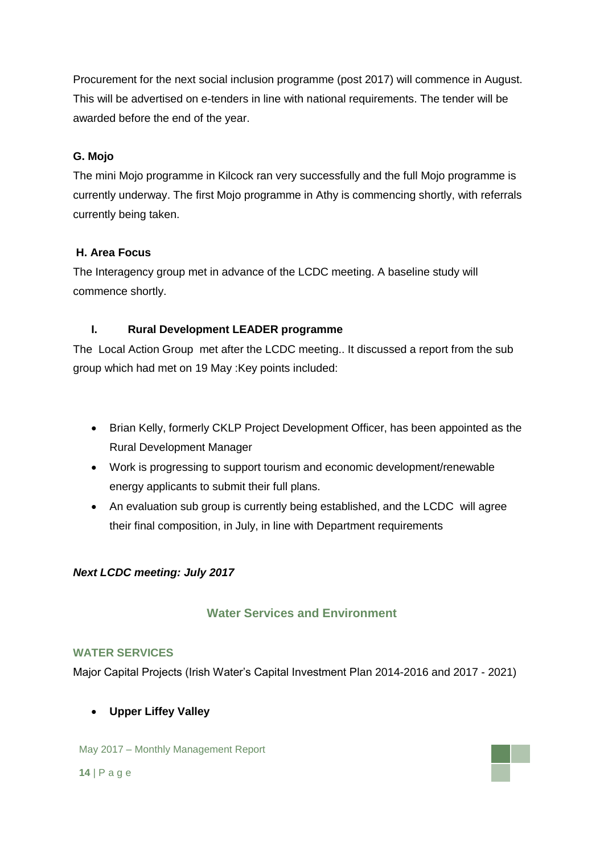Procurement for the next social inclusion programme (post 2017) will commence in August. This will be advertised on e-tenders in line with national requirements. The tender will be awarded before the end of the year.

## **G. Mojo**

The mini Mojo programme in Kilcock ran very successfully and the full Mojo programme is currently underway. The first Mojo programme in Athy is commencing shortly, with referrals currently being taken.

## **H. Area Focus**

The Interagency group met in advance of the LCDC meeting. A baseline study will commence shortly.

## **I. Rural Development LEADER programme**

The Local Action Group met after the LCDC meeting.. It discussed a report from the sub group which had met on 19 May :Key points included:

- Brian Kelly, formerly CKLP Project Development Officer, has been appointed as the Rural Development Manager
- Work is progressing to support tourism and economic development/renewable energy applicants to submit their full plans.
- An evaluation sub group is currently being established, and the LCDC will agree their final composition, in July, in line with Department requirements

## *Next LCDC meeting: July 2017*

## **Water Services and Environment**

## **WATER SERVICES**

Major Capital Projects (Irish Water's Capital Investment Plan 2014-2016 and 2017 - 2021)

**Upper Liffey Valley** 

May 2017 – Monthly Management Report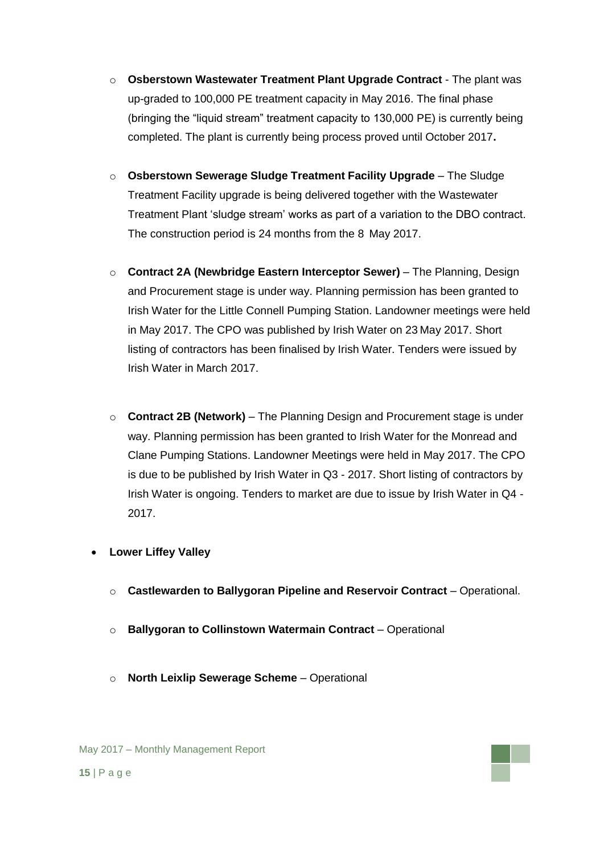- o **Osberstown Wastewater Treatment Plant Upgrade Contract** The plant was up-graded to 100,000 PE treatment capacity in May 2016. The final phase (bringing the "liquid stream" treatment capacity to 130,000 PE) is currently being completed. The plant is currently being process proved until October 2017**.**
- o **Osberstown Sewerage Sludge Treatment Facility Upgrade** The Sludge Treatment Facility upgrade is being delivered together with the Wastewater Treatment Plant 'sludge stream' works as part of a variation to the DBO contract. The construction period is 24 months from the 8 May 2017.
- o **Contract 2A (Newbridge Eastern Interceptor Sewer)** The Planning, Design and Procurement stage is under way. Planning permission has been granted to Irish Water for the Little Connell Pumping Station. Landowner meetings were held in May 2017. The CPO was published by Irish Water on 23 May 2017. Short listing of contractors has been finalised by Irish Water. Tenders were issued by Irish Water in March 2017.
- o **Contract 2B (Network)** The Planning Design and Procurement stage is under way. Planning permission has been granted to Irish Water for the Monread and Clane Pumping Stations. Landowner Meetings were held in May 2017. The CPO is due to be published by Irish Water in Q3 - 2017. Short listing of contractors by Irish Water is ongoing. Tenders to market are due to issue by Irish Water in Q4 - 2017.
- **Lower Liffey Valley**
	- o **Castlewarden to Ballygoran Pipeline and Reservoir Contract** Operational.
	- o **Ballygoran to Collinstown Watermain Contract** Operational
	- o **North Leixlip Sewerage Scheme** Operational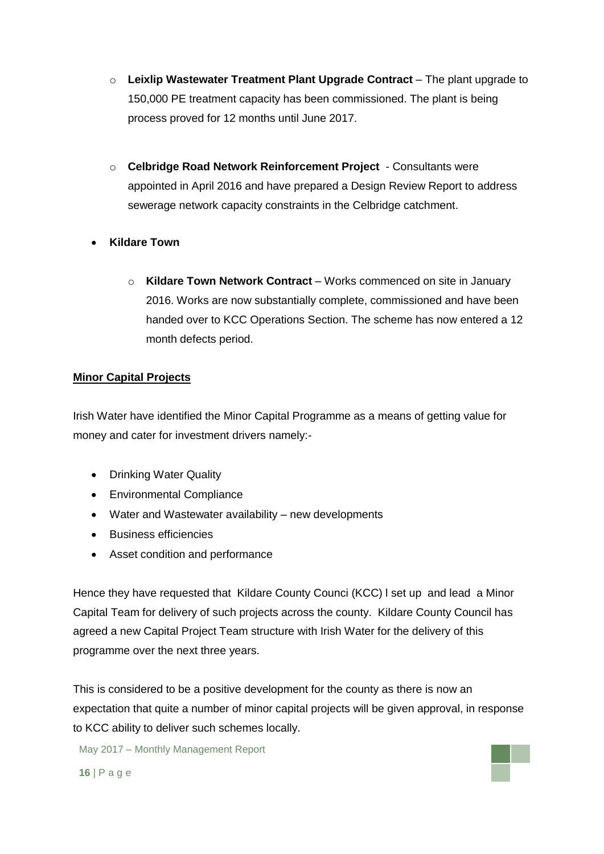- o **Leixlip Wastewater Treatment Plant Upgrade Contract** The plant upgrade to 150,000 PE treatment capacity has been commissioned. The plant is being process proved for 12 months until June 2017.
- o **Celbridge Road Network Reinforcement Project**  Consultants were appointed in April 2016 and have prepared a Design Review Report to address sewerage network capacity constraints in the Celbridge catchment.
- **Kildare Town** 
	- o **Kildare Town Network Contract** Works commenced on site in January 2016. Works are now substantially complete, commissioned and have been handed over to KCC Operations Section. The scheme has now entered a 12 month defects period.

## **Minor Capital Projects**

Irish Water have identified the Minor Capital Programme as a means of getting value for money and cater for investment drivers namely:-

- Drinking Water Quality
- Environmental Compliance
- Water and Wastewater availability new developments
- Business efficiencies
- Asset condition and performance

Hence they have requested that Kildare County Counci (KCC) l set up and lead a Minor Capital Team for delivery of such projects across the county. Kildare County Council has agreed a new Capital Project Team structure with Irish Water for the delivery of this programme over the next three years.

This is considered to be a positive development for the county as there is now an expectation that quite a number of minor capital projects will be given approval, in response to KCC ability to deliver such schemes locally.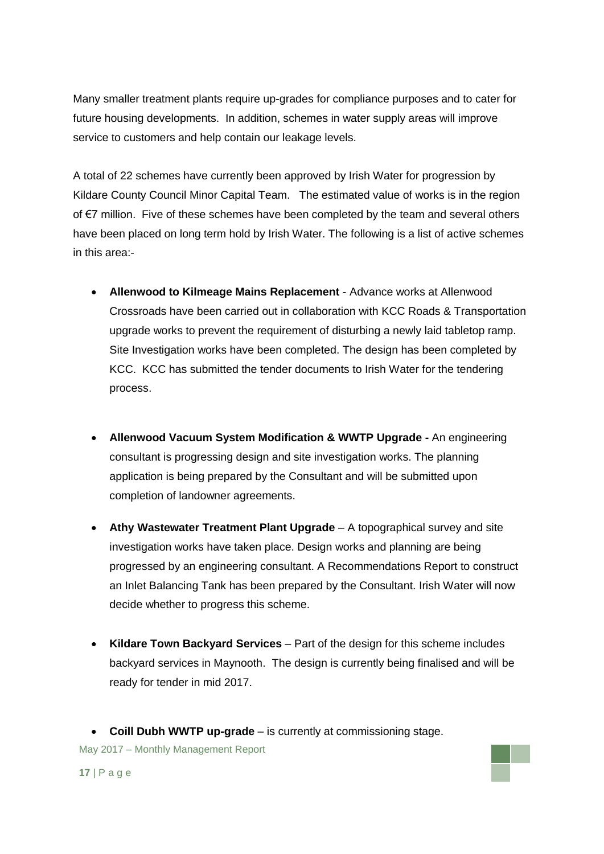Many smaller treatment plants require up-grades for compliance purposes and to cater for future housing developments. In addition, schemes in water supply areas will improve service to customers and help contain our leakage levels.

A total of 22 schemes have currently been approved by Irish Water for progression by Kildare County Council Minor Capital Team. The estimated value of works is in the region of €7 million. Five of these schemes have been completed by the team and several others have been placed on long term hold by Irish Water. The following is a list of active schemes in this area:-

- **Allenwood to Kilmeage Mains Replacement** Advance works at Allenwood Crossroads have been carried out in collaboration with KCC Roads & Transportation upgrade works to prevent the requirement of disturbing a newly laid tabletop ramp. Site Investigation works have been completed. The design has been completed by KCC. KCC has submitted the tender documents to Irish Water for the tendering process.
- **Allenwood Vacuum System Modification & WWTP Upgrade -** An engineering consultant is progressing design and site investigation works. The planning application is being prepared by the Consultant and will be submitted upon completion of landowner agreements.
- **Athy Wastewater Treatment Plant Upgrade** A topographical survey and site investigation works have taken place. Design works and planning are being progressed by an engineering consultant. A Recommendations Report to construct an Inlet Balancing Tank has been prepared by the Consultant. Irish Water will now decide whether to progress this scheme.
- **Kildare Town Backyard Services** Part of the design for this scheme includes backyard services in Maynooth. The design is currently being finalised and will be ready for tender in mid 2017.
- May 2017 Monthly Management Report **Coill Dubh WWTP up-grade** – is currently at commissioning stage.

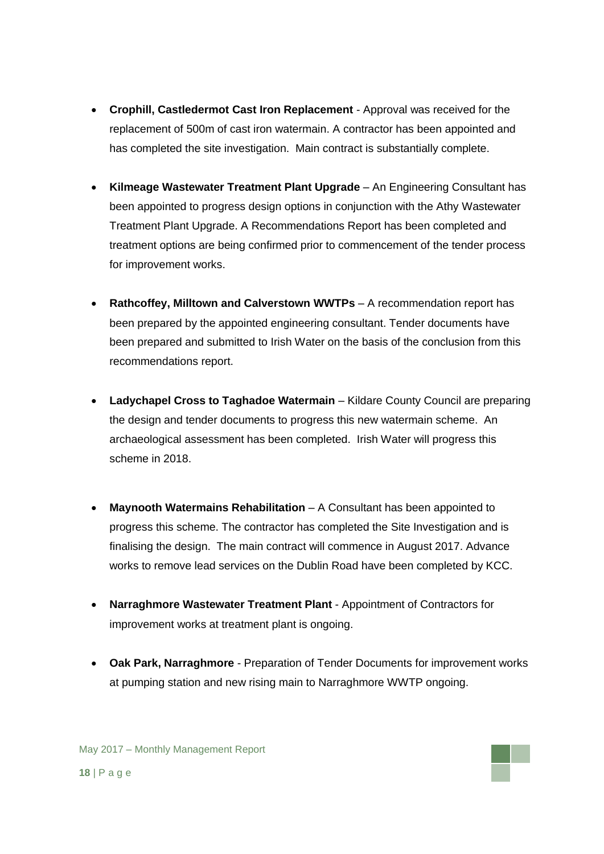- **Crophill, Castledermot Cast Iron Replacement**  Approval was received for the replacement of 500m of cast iron watermain. A contractor has been appointed and has completed the site investigation. Main contract is substantially complete.
- **Kilmeage Wastewater Treatment Plant Upgrade** An Engineering Consultant has been appointed to progress design options in conjunction with the Athy Wastewater Treatment Plant Upgrade. A Recommendations Report has been completed and treatment options are being confirmed prior to commencement of the tender process for improvement works.
- **Rathcoffey, Milltown and Calverstown WWTPs** A recommendation report has been prepared by the appointed engineering consultant. Tender documents have been prepared and submitted to Irish Water on the basis of the conclusion from this recommendations report.
- **Ladychapel Cross to Taghadoe Watermain** Kildare County Council are preparing the design and tender documents to progress this new watermain scheme. An archaeological assessment has been completed. Irish Water will progress this scheme in 2018.
- **Maynooth Watermains Rehabilitation** A Consultant has been appointed to progress this scheme. The contractor has completed the Site Investigation and is finalising the design. The main contract will commence in August 2017. Advance works to remove lead services on the Dublin Road have been completed by KCC.
- **Narraghmore Wastewater Treatment Plant**  Appointment of Contractors for improvement works at treatment plant is ongoing.
- **Oak Park, Narraghmore**  Preparation of Tender Documents for improvement works at pumping station and new rising main to Narraghmore WWTP ongoing.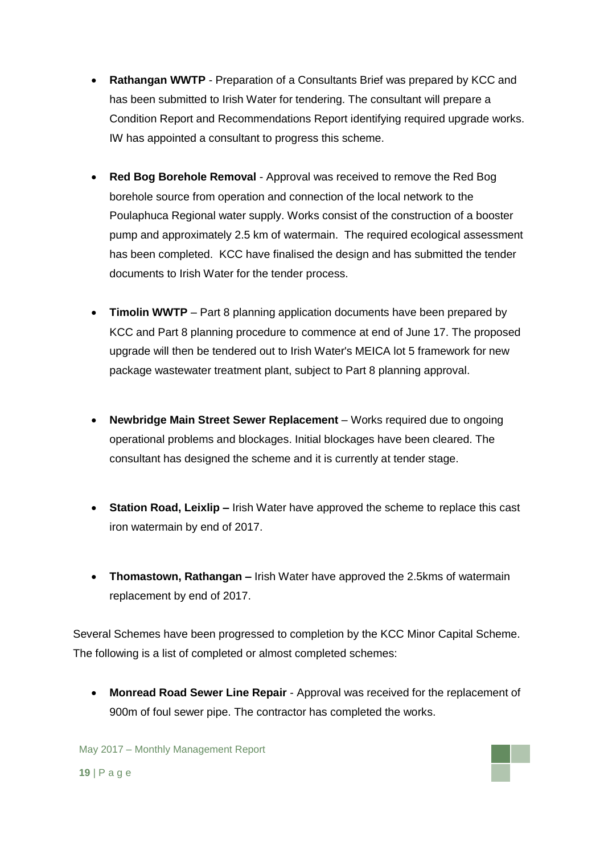- **Rathangan WWTP** Preparation of a Consultants Brief was prepared by KCC and has been submitted to Irish Water for tendering. The consultant will prepare a Condition Report and Recommendations Report identifying required upgrade works. IW has appointed a consultant to progress this scheme.
- **Red Bog Borehole Removal**  Approval was received to remove the Red Bog borehole source from operation and connection of the local network to the Poulaphuca Regional water supply. Works consist of the construction of a booster pump and approximately 2.5 km of watermain. The required ecological assessment has been completed. KCC have finalised the design and has submitted the tender documents to Irish Water for the tender process.
- **Timolin WWTP** Part 8 planning application documents have been prepared by KCC and Part 8 planning procedure to commence at end of June 17. The proposed upgrade will then be tendered out to Irish Water's MEICA lot 5 framework for new package wastewater treatment plant, subject to Part 8 planning approval.
- **Newbridge Main Street Sewer Replacement** Works required due to ongoing operational problems and blockages. Initial blockages have been cleared. The consultant has designed the scheme and it is currently at tender stage.
- **Station Road, Leixlip –** Irish Water have approved the scheme to replace this cast iron watermain by end of 2017.
- **Thomastown, Rathangan –** Irish Water have approved the 2.5kms of watermain replacement by end of 2017.

Several Schemes have been progressed to completion by the KCC Minor Capital Scheme. The following is a list of completed or almost completed schemes:

 **Monread Road Sewer Line Repair** - Approval was received for the replacement of 900m of foul sewer pipe. The contractor has completed the works.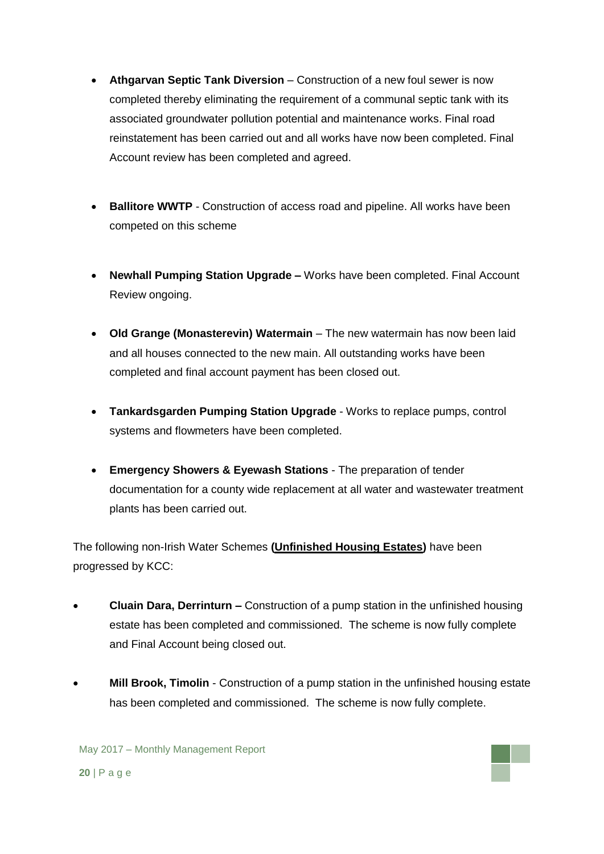- **Athgarvan Septic Tank Diversion** Construction of a new foul sewer is now completed thereby eliminating the requirement of a communal septic tank with its associated groundwater pollution potential and maintenance works. Final road reinstatement has been carried out and all works have now been completed. Final Account review has been completed and agreed.
- **Ballitore WWTP** Construction of access road and pipeline. All works have been competed on this scheme
- **Newhall Pumping Station Upgrade –** Works have been completed. Final Account Review ongoing.
- **Old Grange (Monasterevin) Watermain** The new watermain has now been laid and all houses connected to the new main. All outstanding works have been completed and final account payment has been closed out.
- **Tankardsgarden Pumping Station Upgrade** Works to replace pumps, control systems and flowmeters have been completed.
- **Emergency Showers & Eyewash Stations** The preparation of tender documentation for a county wide replacement at all water and wastewater treatment plants has been carried out.

The following non-Irish Water Schemes **(Unfinished Housing Estates)** have been progressed by KCC:

- **Cluain Dara, Derrinturn –** Construction of a pump station in the unfinished housing estate has been completed and commissioned. The scheme is now fully complete and Final Account being closed out.
- **Mill Brook, Timolin** Construction of a pump station in the unfinished housing estate has been completed and commissioned. The scheme is now fully complete.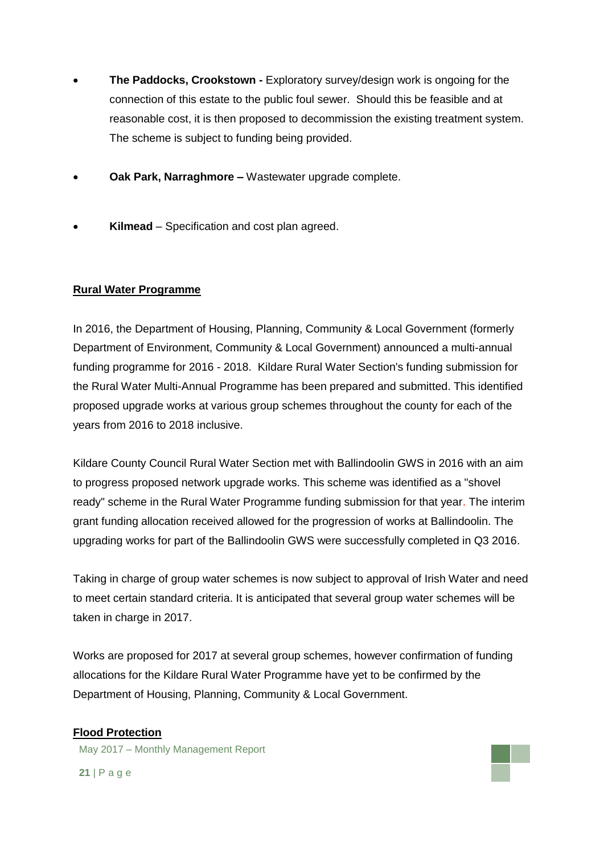- **The Paddocks, Crookstown -** Exploratory survey/design work is ongoing for the connection of this estate to the public foul sewer. Should this be feasible and at reasonable cost, it is then proposed to decommission the existing treatment system. The scheme is subject to funding being provided.
- **Oak Park, Narraghmore –** Wastewater upgrade complete.
- **Kilmead**  Specification and cost plan agreed.

## **Rural Water Programme**

In 2016, the Department of Housing, Planning, Community & Local Government (formerly Department of Environment, Community & Local Government) announced a multi-annual funding programme for 2016 - 2018. Kildare Rural Water Section's funding submission for the Rural Water Multi-Annual Programme has been prepared and submitted. This identified proposed upgrade works at various group schemes throughout the county for each of the years from 2016 to 2018 inclusive.

Kildare County Council Rural Water Section met with Ballindoolin GWS in 2016 with an aim to progress proposed network upgrade works. This scheme was identified as a "shovel ready" scheme in the Rural Water Programme funding submission for that year. The interim grant funding allocation received allowed for the progression of works at Ballindoolin. The upgrading works for part of the Ballindoolin GWS were successfully completed in Q3 2016.

Taking in charge of group water schemes is now subject to approval of Irish Water and need to meet certain standard criteria. It is anticipated that several group water schemes will be taken in charge in 2017.

Works are proposed for 2017 at several group schemes, however confirmation of funding allocations for the Kildare Rural Water Programme have yet to be confirmed by the Department of Housing, Planning, Community & Local Government.

### **Flood Protection**

May 2017 – Monthly Management Report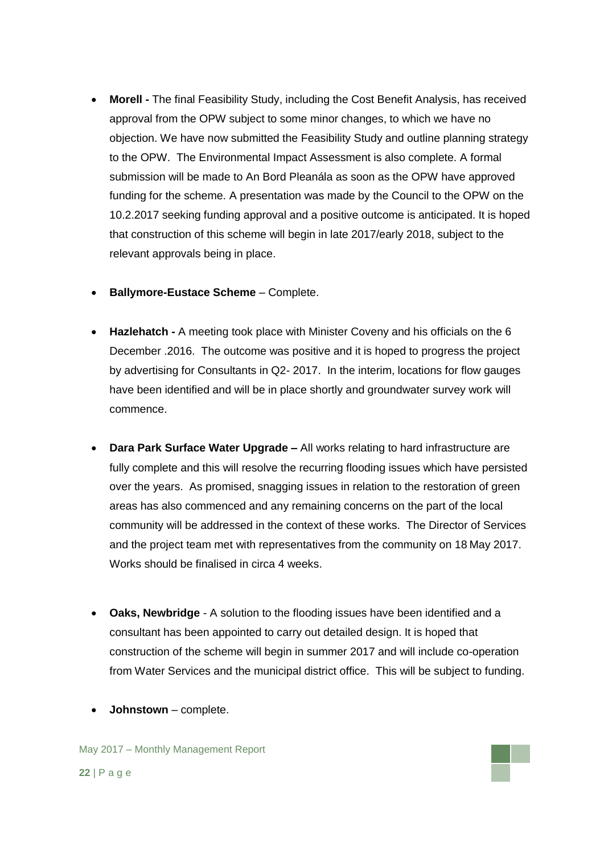- **Morell -** The final Feasibility Study, including the Cost Benefit Analysis, has received approval from the OPW subject to some minor changes, to which we have no objection. We have now submitted the Feasibility Study and outline planning strategy to the OPW. The Environmental Impact Assessment is also complete. A formal submission will be made to An Bord Pleanála as soon as the OPW have approved funding for the scheme. A presentation was made by the Council to the OPW on the 10.2.2017 seeking funding approval and a positive outcome is anticipated. It is hoped that construction of this scheme will begin in late 2017/early 2018, subject to the relevant approvals being in place.
- **Ballymore-Eustace Scheme** Complete.
- **Hazlehatch -** A meeting took place with Minister Coveny and his officials on the 6 December .2016. The outcome was positive and it is hoped to progress the project by advertising for Consultants in Q2- 2017. In the interim, locations for flow gauges have been identified and will be in place shortly and groundwater survey work will commence.
- **Dara Park Surface Water Upgrade –** All works relating to hard infrastructure are fully complete and this will resolve the recurring flooding issues which have persisted over the years. As promised, snagging issues in relation to the restoration of green areas has also commenced and any remaining concerns on the part of the local community will be addressed in the context of these works. The Director of Services and the project team met with representatives from the community on 18 May 2017. Works should be finalised in circa 4 weeks.
- **Oaks, Newbridge** A solution to the flooding issues have been identified and a consultant has been appointed to carry out detailed design. It is hoped that construction of the scheme will begin in summer 2017 and will include co-operation from Water Services and the municipal district office. This will be subject to funding.
- **Johnstown**  complete.

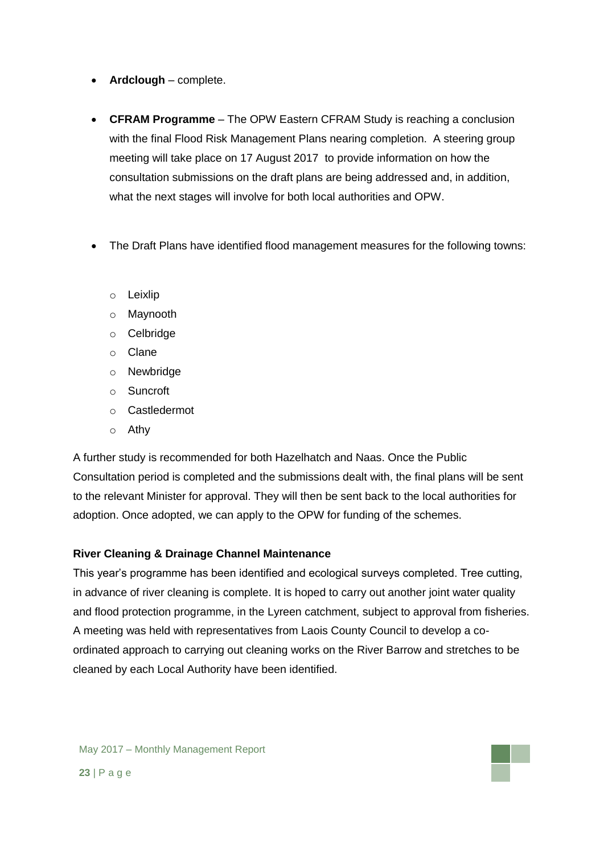- **Ardclough** complete.
- **CFRAM Programme** The OPW Eastern CFRAM Study is reaching a conclusion with the final Flood Risk Management Plans nearing completion. A steering group meeting will take place on 17 August 2017 to provide information on how the consultation submissions on the draft plans are being addressed and, in addition, what the next stages will involve for both local authorities and OPW.
- The Draft Plans have identified flood management measures for the following towns:
	- o Leixlip
	- o Maynooth
	- o Celbridge
	- o Clane
	- o Newbridge
	- o Suncroft
	- o Castledermot
	- o Athy

A further study is recommended for both Hazelhatch and Naas. Once the Public Consultation period is completed and the submissions dealt with, the final plans will be sent to the relevant Minister for approval. They will then be sent back to the local authorities for adoption. Once adopted, we can apply to the OPW for funding of the schemes.

## **River Cleaning & Drainage Channel Maintenance**

This year's programme has been identified and ecological surveys completed. Tree cutting, in advance of river cleaning is complete. It is hoped to carry out another joint water quality and flood protection programme, in the Lyreen catchment, subject to approval from fisheries. A meeting was held with representatives from Laois County Council to develop a coordinated approach to carrying out cleaning works on the River Barrow and stretches to be cleaned by each Local Authority have been identified.

May 2017 – Monthly Management Report **23** | P a g e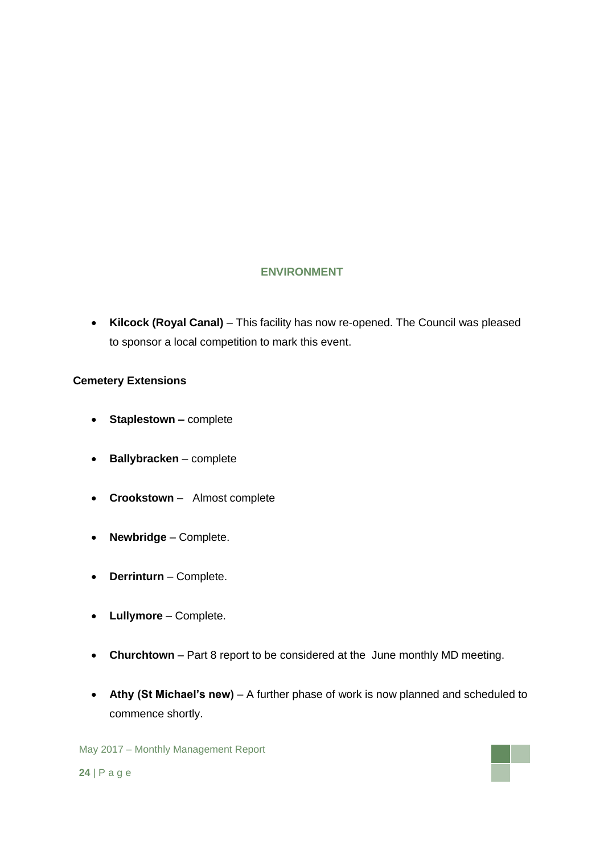## **ENVIRONMENT**

 **Kilcock (Royal Canal)** – This facility has now re-opened. The Council was pleased to sponsor a local competition to mark this event.

### **Cemetery Extensions**

- **Staplestown –** complete
- **Ballybracken** complete
- **Crookstown**  Almost complete
- **Newbridge**  Complete.
- **Derrinturn** Complete.
- **Lullymore** Complete.
- **Churchtown** Part 8 report to be considered at the June monthly MD meeting.
- **Athy (St Michael's new)** A further phase of work is now planned and scheduled to commence shortly.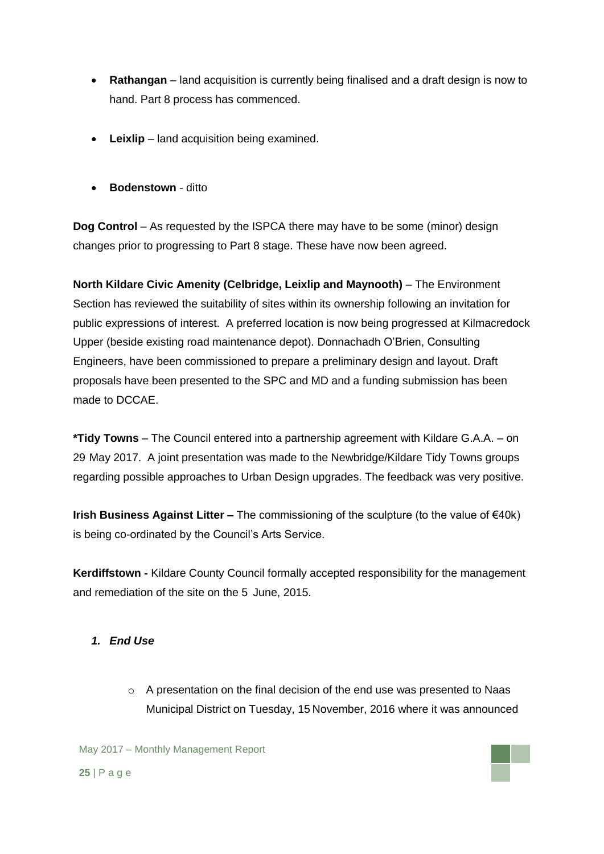- **Rathangan** land acquisition is currently being finalised and a draft design is now to hand. Part 8 process has commenced.
- **Leixlip** land acquisition being examined.
- **•** Bodenstown ditto

**Dog Control** – As requested by the ISPCA there may have to be some (minor) design changes prior to progressing to Part 8 stage. These have now been agreed.

**North Kildare Civic Amenity (Celbridge, Leixlip and Maynooth)** – The Environment Section has reviewed the suitability of sites within its ownership following an invitation for public expressions of interest. A preferred location is now being progressed at Kilmacredock Upper (beside existing road maintenance depot). Donnachadh O'Brien, Consulting Engineers, have been commissioned to prepare a preliminary design and layout. Draft proposals have been presented to the SPC and MD and a funding submission has been made to DCCAE.

**\*Tidy Towns** – The Council entered into a partnership agreement with Kildare G.A.A. – on 29 May 2017. A joint presentation was made to the Newbridge/Kildare Tidy Towns groups regarding possible approaches to Urban Design upgrades. The feedback was very positive.

**Irish Business Against Litter –** The commissioning of the sculpture (to the value of €40k) is being co-ordinated by the Council's Arts Service.

**Kerdiffstown -** Kildare County Council formally accepted responsibility for the management and remediation of the site on the 5 June, 2015.

## *1. End Use*

 $\circ$  A presentation on the final decision of the end use was presented to Naas Municipal District on Tuesday, 15 November, 2016 where it was announced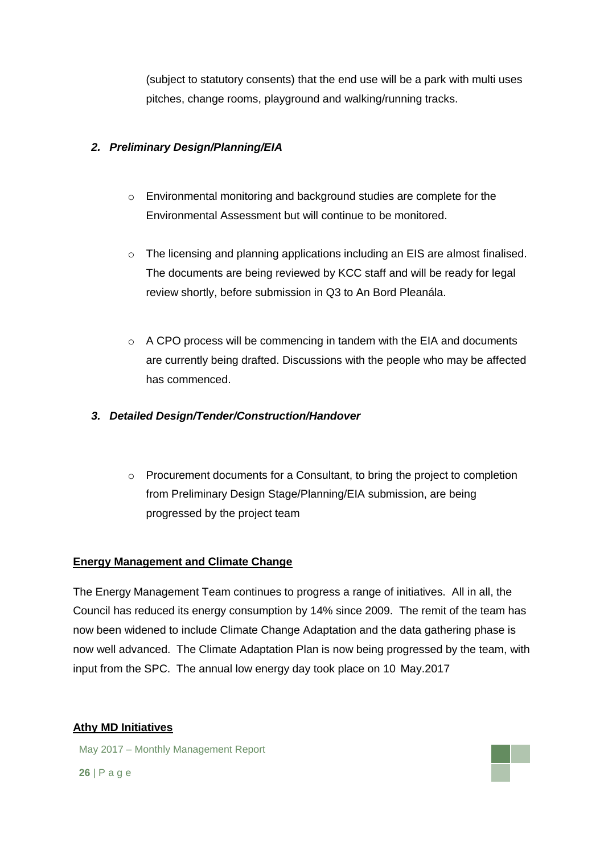(subject to statutory consents) that the end use will be a park with multi uses pitches, change rooms, playground and walking/running tracks.

## *2. Preliminary Design/Planning/EIA*

- o Environmental monitoring and background studies are complete for the Environmental Assessment but will continue to be monitored.
- o The licensing and planning applications including an EIS are almost finalised. The documents are being reviewed by KCC staff and will be ready for legal review shortly, before submission in Q3 to An Bord Pleanála.
- $\circ$  A CPO process will be commencing in tandem with the EIA and documents are currently being drafted. Discussions with the people who may be affected has commenced.

## *3. Detailed Design/Tender/Construction/Handover*

 $\circ$  Procurement documents for a Consultant, to bring the project to completion from Preliminary Design Stage/Planning/EIA submission, are being progressed by the project team

## **Energy Management and Climate Change**

The Energy Management Team continues to progress a range of initiatives. All in all, the Council has reduced its energy consumption by 14% since 2009. The remit of the team has now been widened to include Climate Change Adaptation and the data gathering phase is now well advanced. The Climate Adaptation Plan is now being progressed by the team, with input from the SPC. The annual low energy day took place on 10 May.2017

## **Athy MD Initiatives**

May 2017 – Monthly Management Report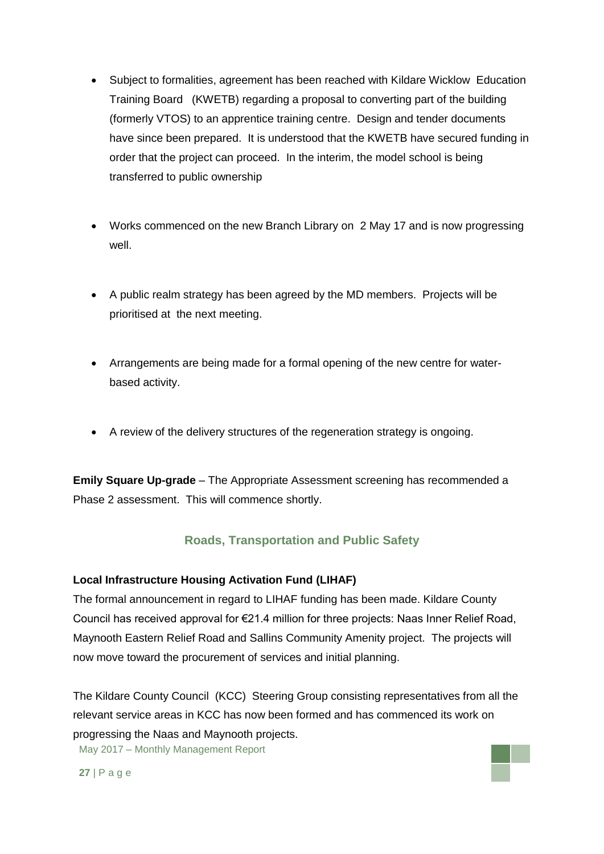- Subject to formalities, agreement has been reached with Kildare Wicklow Education Training Board (KWETB) regarding a proposal to converting part of the building (formerly VTOS) to an apprentice training centre. Design and tender documents have since been prepared. It is understood that the KWETB have secured funding in order that the project can proceed. In the interim, the model school is being transferred to public ownership
- Works commenced on the new Branch Library on 2 May 17 and is now progressing well.
- A public realm strategy has been agreed by the MD members. Projects will be prioritised at the next meeting.
- Arrangements are being made for a formal opening of the new centre for waterbased activity.
- A review of the delivery structures of the regeneration strategy is ongoing.

**Emily Square Up-grade** – The Appropriate Assessment screening has recommended a Phase 2 assessment. This will commence shortly.

# **Roads, Transportation and Public Safety**

### **Local Infrastructure Housing Activation Fund (LIHAF)**

The formal announcement in regard to LIHAF funding has been made. Kildare County Council has received approval for €21.4 million for three projects: Naas Inner Relief Road, Maynooth Eastern Relief Road and Sallins Community Amenity project. The projects will now move toward the procurement of services and initial planning.

May 2017 – Monthly Management Report The Kildare County Council (KCC) Steering Group consisting representatives from all the relevant service areas in KCC has now been formed and has commenced its work on progressing the Naas and Maynooth projects.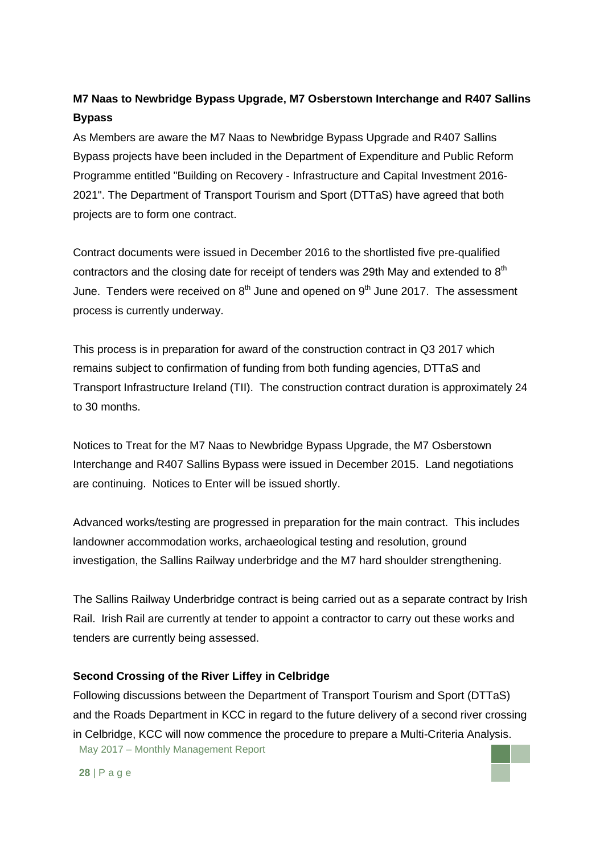# **M7 Naas to Newbridge Bypass Upgrade, M7 Osberstown Interchange and R407 Sallins Bypass**

As Members are aware the M7 Naas to Newbridge Bypass Upgrade and R407 Sallins Bypass projects have been included in the Department of Expenditure and Public Reform Programme entitled "Building on Recovery - Infrastructure and Capital Investment 2016- 2021". The Department of Transport Tourism and Sport (DTTaS) have agreed that both projects are to form one contract.

Contract documents were issued in December 2016 to the shortlisted five pre-qualified contractors and the closing date for receipt of tenders was 29th May and extended to  $8<sup>th</sup>$ June. Tenders were received on  $8<sup>th</sup>$  June and opened on  $9<sup>th</sup>$  June 2017. The assessment process is currently underway.

This process is in preparation for award of the construction contract in Q3 2017 which remains subject to confirmation of funding from both funding agencies, DTTaS and Transport Infrastructure Ireland (TII). The construction contract duration is approximately 24 to 30 months.

Notices to Treat for the M7 Naas to Newbridge Bypass Upgrade, the M7 Osberstown Interchange and R407 Sallins Bypass were issued in December 2015. Land negotiations are continuing. Notices to Enter will be issued shortly.

Advanced works/testing are progressed in preparation for the main contract. This includes landowner accommodation works, archaeological testing and resolution, ground investigation, the Sallins Railway underbridge and the M7 hard shoulder strengthening.

The Sallins Railway Underbridge contract is being carried out as a separate contract by Irish Rail. Irish Rail are currently at tender to appoint a contractor to carry out these works and tenders are currently being assessed.

### **Second Crossing of the River Liffey in Celbridge**

May 2017 – Monthly Management Report Following discussions between the Department of Transport Tourism and Sport (DTTaS) and the Roads Department in KCC in regard to the future delivery of a second river crossing in Celbridge, KCC will now commence the procedure to prepare a Multi-Criteria Analysis.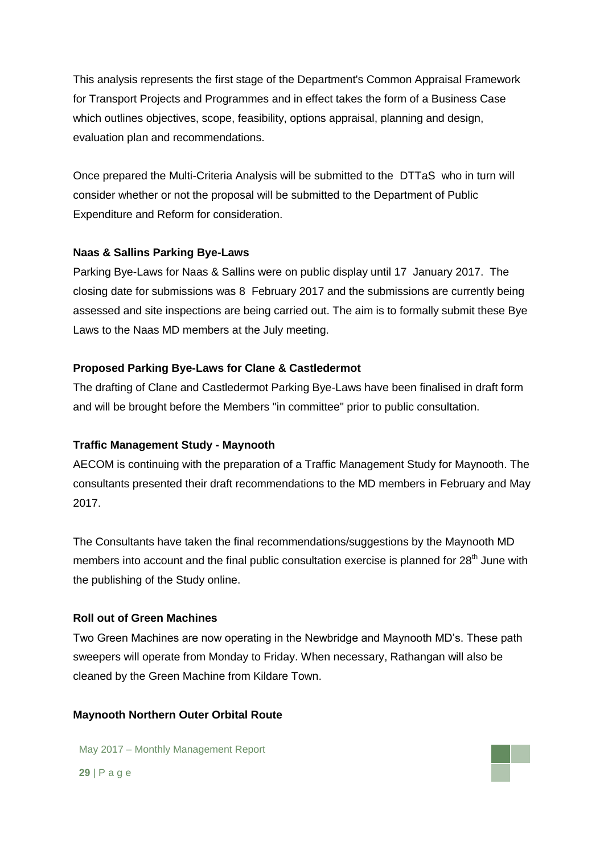This analysis represents the first stage of the Department's Common Appraisal Framework for Transport Projects and Programmes and in effect takes the form of a Business Case which outlines objectives, scope, feasibility, options appraisal, planning and design, evaluation plan and recommendations.

Once prepared the Multi-Criteria Analysis will be submitted to the DTTaS who in turn will consider whether or not the proposal will be submitted to the Department of Public Expenditure and Reform for consideration.

## **Naas & Sallins Parking Bye-Laws**

Parking Bye-Laws for Naas & Sallins were on public display until 17 January 2017. The closing date for submissions was 8 February 2017 and the submissions are currently being assessed and site inspections are being carried out. The aim is to formally submit these Bye Laws to the Naas MD members at the July meeting.

## **Proposed Parking Bye-Laws for Clane & Castledermot**

The drafting of Clane and Castledermot Parking Bye-Laws have been finalised in draft form and will be brought before the Members "in committee" prior to public consultation.

### **Traffic Management Study - Maynooth**

AECOM is continuing with the preparation of a Traffic Management Study for Maynooth. The consultants presented their draft recommendations to the MD members in February and May 2017.

The Consultants have taken the final recommendations/suggestions by the Maynooth MD members into account and the final public consultation exercise is planned for 28<sup>th</sup> June with the publishing of the Study online.

### **Roll out of Green Machines**

Two Green Machines are now operating in the Newbridge and Maynooth MD's. These path sweepers will operate from Monday to Friday. When necessary, Rathangan will also be cleaned by the Green Machine from Kildare Town.

### **Maynooth Northern Outer Orbital Route**

May 2017 – Monthly Management Report **29** | P a g e

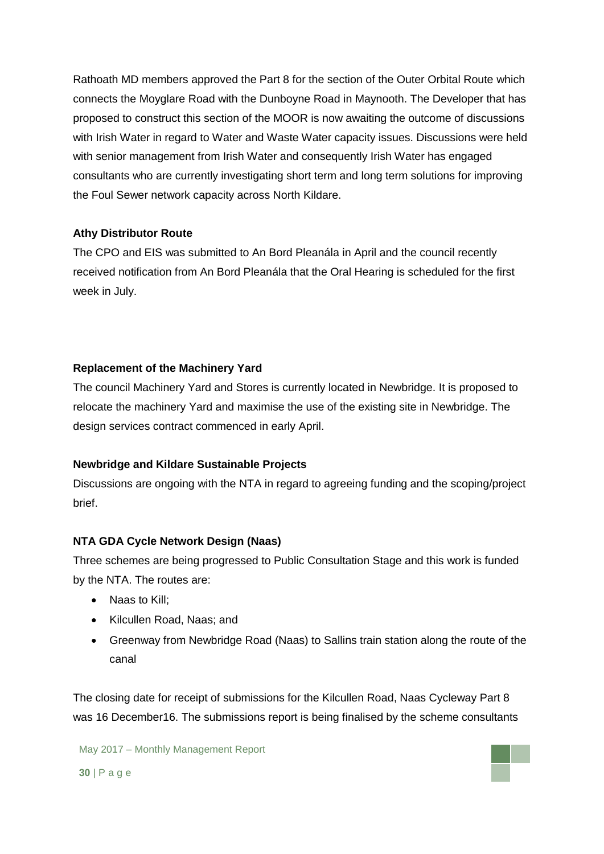Rathoath MD members approved the Part 8 for the section of the Outer Orbital Route which connects the Moyglare Road with the Dunboyne Road in Maynooth. The Developer that has proposed to construct this section of the MOOR is now awaiting the outcome of discussions with Irish Water in regard to Water and Waste Water capacity issues. Discussions were held with senior management from Irish Water and consequently Irish Water has engaged consultants who are currently investigating short term and long term solutions for improving the Foul Sewer network capacity across North Kildare.

## **Athy Distributor Route**

The CPO and EIS was submitted to An Bord Pleanála in April and the council recently received notification from An Bord Pleanála that the Oral Hearing is scheduled for the first week in July.

## **Replacement of the Machinery Yard**

The council Machinery Yard and Stores is currently located in Newbridge. It is proposed to relocate the machinery Yard and maximise the use of the existing site in Newbridge. The design services contract commenced in early April.

### **Newbridge and Kildare Sustainable Projects**

Discussions are ongoing with the NTA in regard to agreeing funding and the scoping/project brief.

## **NTA GDA Cycle Network Design (Naas)**

Three schemes are being progressed to Public Consultation Stage and this work is funded by the NTA. The routes are:

- Naas to Kill;
- Kilcullen Road, Naas; and
- Greenway from Newbridge Road (Naas) to Sallins train station along the route of the canal

The closing date for receipt of submissions for the Kilcullen Road, Naas Cycleway Part 8 was 16 December16. The submissions report is being finalised by the scheme consultants

May 2017 – Monthly Management Report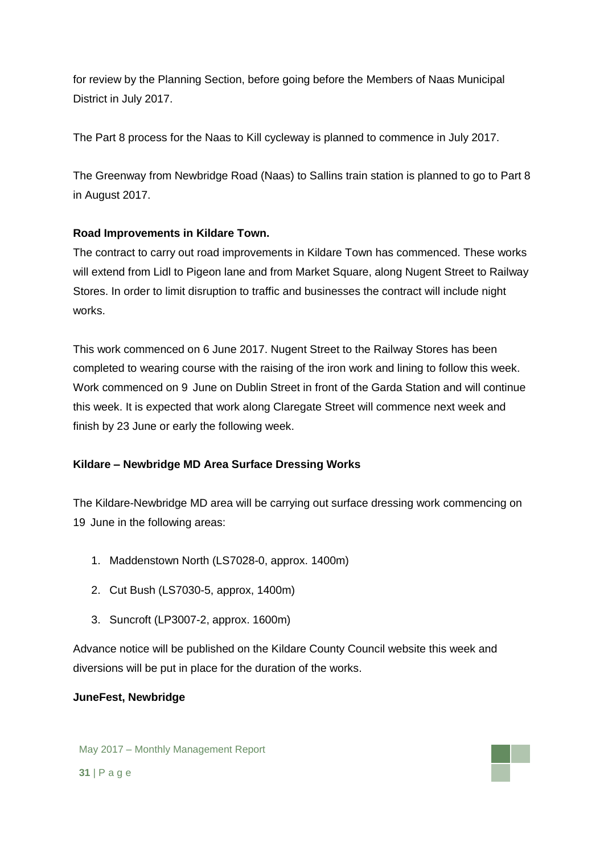for review by the Planning Section, before going before the Members of Naas Municipal District in July 2017.

The Part 8 process for the Naas to Kill cycleway is planned to commence in July 2017.

The Greenway from Newbridge Road (Naas) to Sallins train station is planned to go to Part 8 in August 2017.

## **Road Improvements in Kildare Town.**

The contract to carry out road improvements in Kildare Town has commenced. These works will extend from Lidl to Pigeon lane and from Market Square, along Nugent Street to Railway Stores. In order to limit disruption to traffic and businesses the contract will include night works.

This work commenced on 6 June 2017. Nugent Street to the Railway Stores has been completed to wearing course with the raising of the iron work and lining to follow this week. Work commenced on 9 June on Dublin Street in front of the Garda Station and will continue this week. It is expected that work along Claregate Street will commence next week and finish by 23 June or early the following week.

## **Kildare – Newbridge MD Area Surface Dressing Works**

The Kildare-Newbridge MD area will be carrying out surface dressing work commencing on 19 June in the following areas:

- 1. Maddenstown North (LS7028-0, approx. 1400m)
- 2. Cut Bush (LS7030-5, approx, 1400m)
- 3. Suncroft (LP3007-2, approx. 1600m)

Advance notice will be published on the Kildare County Council website this week and diversions will be put in place for the duration of the works.

## **JuneFest, Newbridge**

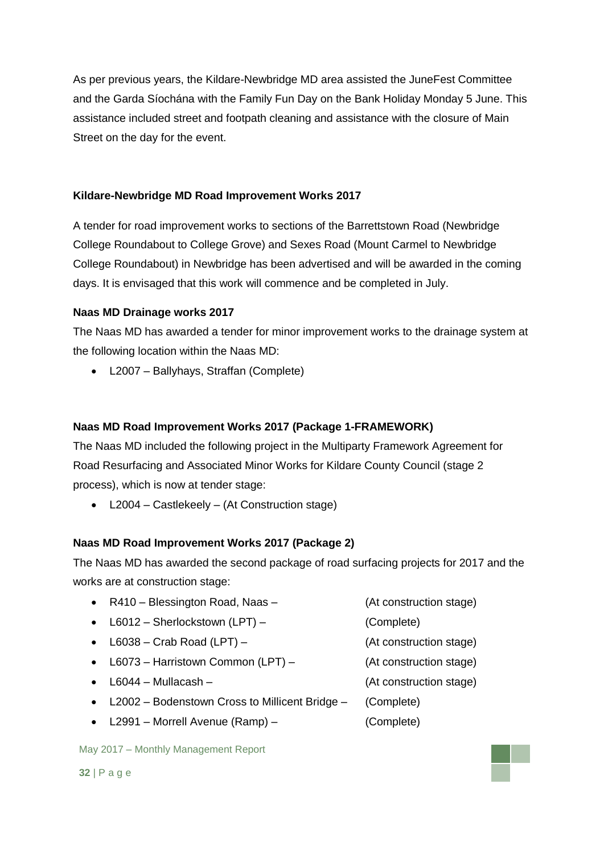As per previous years, the Kildare-Newbridge MD area assisted the JuneFest Committee and the Garda Síochána with the Family Fun Day on the Bank Holiday Monday 5 June. This assistance included street and footpath cleaning and assistance with the closure of Main Street on the day for the event.

### **Kildare-Newbridge MD Road Improvement Works 2017**

A tender for road improvement works to sections of the Barrettstown Road (Newbridge College Roundabout to College Grove) and Sexes Road (Mount Carmel to Newbridge College Roundabout) in Newbridge has been advertised and will be awarded in the coming days. It is envisaged that this work will commence and be completed in July.

## **Naas MD Drainage works 2017**

The Naas MD has awarded a tender for minor improvement works to the drainage system at the following location within the Naas MD:

L2007 – Ballyhays, Straffan (Complete)

### **Naas MD Road Improvement Works 2017 (Package 1-FRAMEWORK)**

The Naas MD included the following project in the Multiparty Framework Agreement for Road Resurfacing and Associated Minor Works for Kildare County Council (stage 2 process), which is now at tender stage:

L2004 – Castlekeely – (At Construction stage)

### **Naas MD Road Improvement Works 2017 (Package 2)**

The Naas MD has awarded the second package of road surfacing projects for 2017 and the works are at construction stage:

- R410 Blessington Road, Naas (At construction stage)
- L6012 Sherlockstown (LPT) (Complete)
- L6038 Crab Road (LPT) (At construction stage)
- L6073 Harristown Common (LPT) (At construction stage)
- L6044 Mullacash (At construction stage)
- L2002 Bodenstown Cross to Millicent Bridge (Complete)
- L2991 Morrell Avenue (Ramp) (Complete)

May 2017 – Monthly Management Report

- 
- 
- 
- 
- -

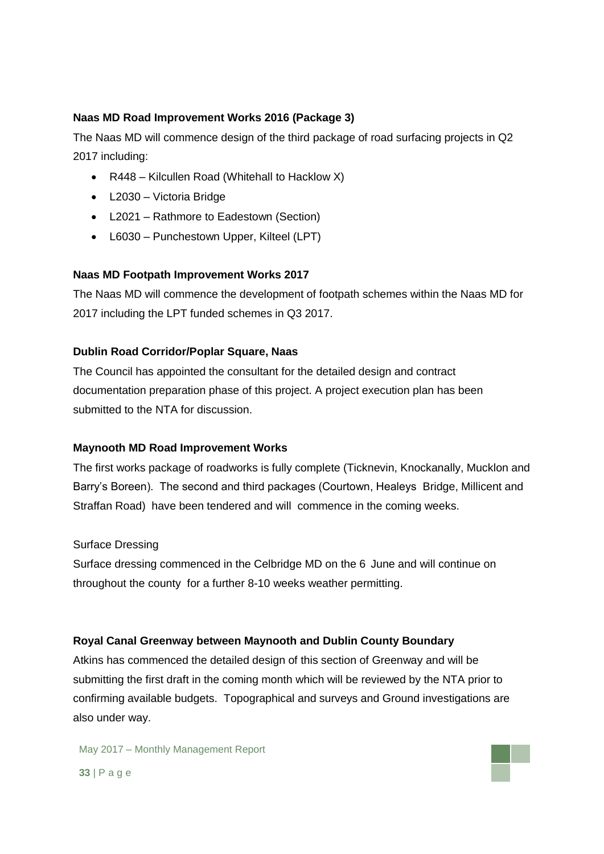## **Naas MD Road Improvement Works 2016 (Package 3)**

The Naas MD will commence design of the third package of road surfacing projects in Q2 2017 including:

- R448 Kilcullen Road (Whitehall to Hacklow X)
- L2030 Victoria Bridge
- L2021 Rathmore to Eadestown (Section)
- L6030 Punchestown Upper, Kilteel (LPT)

### **Naas MD Footpath Improvement Works 2017**

The Naas MD will commence the development of footpath schemes within the Naas MD for 2017 including the LPT funded schemes in Q3 2017.

### **Dublin Road Corridor/Poplar Square, Naas**

The Council has appointed the consultant for the detailed design and contract documentation preparation phase of this project. A project execution plan has been submitted to the NTA for discussion.

### **Maynooth MD Road Improvement Works**

The first works package of roadworks is fully complete (Ticknevin, Knockanally, Mucklon and Barry's Boreen). The second and third packages (Courtown, Healeys Bridge, Millicent and Straffan Road) have been tendered and will commence in the coming weeks.

### Surface Dressing

Surface dressing commenced in the Celbridge MD on the 6 June and will continue on throughout the county for a further 8-10 weeks weather permitting.

#### **Royal Canal Greenway between Maynooth and Dublin County Boundary**

Atkins has commenced the detailed design of this section of Greenway and will be submitting the first draft in the coming month which will be reviewed by the NTA prior to confirming available budgets. Topographical and surveys and Ground investigations are also under way.

May 2017 – Monthly Management Report **33** | P a g e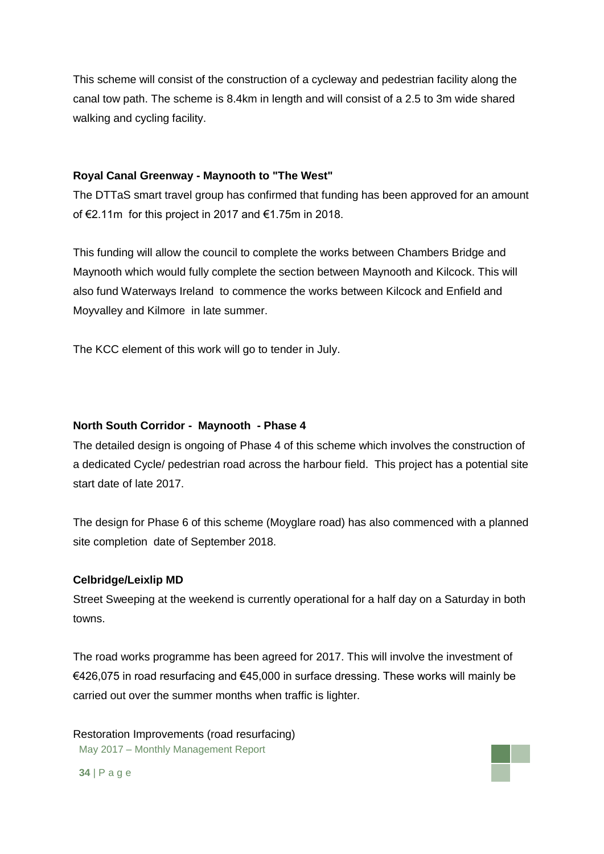This scheme will consist of the construction of a cycleway and pedestrian facility along the canal tow path. The scheme is 8.4km in length and will consist of a 2.5 to 3m wide shared walking and cycling facility.

### **Royal Canal Greenway - Maynooth to "The West"**

The DTTaS smart travel group has confirmed that funding has been approved for an amount of €2.11m for this project in 2017 and €1.75m in 2018.

This funding will allow the council to complete the works between Chambers Bridge and Maynooth which would fully complete the section between Maynooth and Kilcock. This will also fund Waterways Ireland to commence the works between Kilcock and Enfield and Moyvalley and Kilmore in late summer.

The KCC element of this work will go to tender in July.

#### **North South Corridor - Maynooth - Phase 4**

The detailed design is ongoing of Phase 4 of this scheme which involves the construction of a dedicated Cycle/ pedestrian road across the harbour field. This project has a potential site start date of late 2017.

The design for Phase 6 of this scheme (Moyglare road) has also commenced with a planned site completion date of September 2018.

#### **Celbridge/Leixlip MD**

Street Sweeping at the weekend is currently operational for a half day on a Saturday in both towns.

The road works programme has been agreed for 2017. This will involve the investment of €426,075 in road resurfacing and €45,000 in surface dressing. These works will mainly be carried out over the summer months when traffic is lighter.

May 2017 – Monthly Management Report Restoration Improvements (road resurfacing)

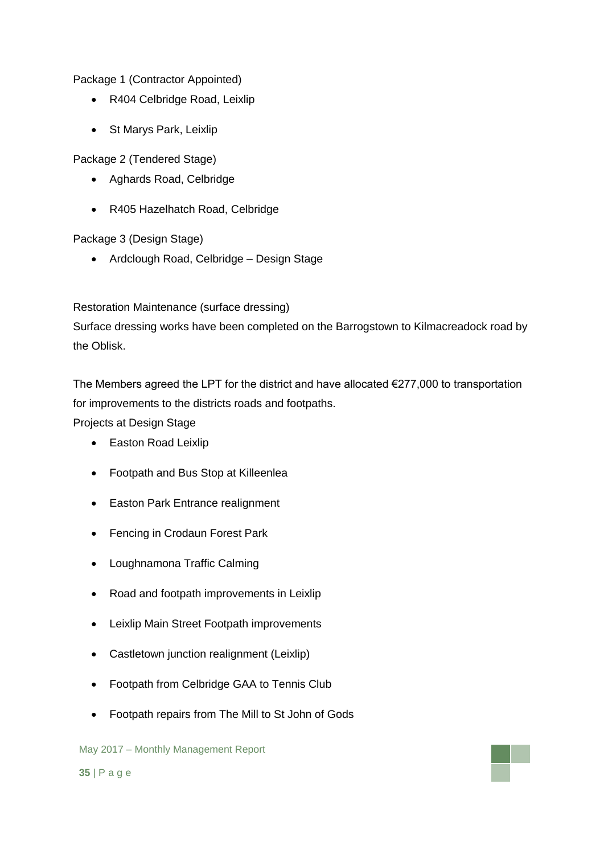Package 1 (Contractor Appointed)

- R404 Celbridge Road, Leixlip
- St Marys Park, Leixlip

Package 2 (Tendered Stage)

- Aghards Road, Celbridge
- R405 Hazelhatch Road, Celbridge

Package 3 (Design Stage)

• Ardclough Road, Celbridge – Design Stage

Restoration Maintenance (surface dressing)

Surface dressing works have been completed on the Barrogstown to Kilmacreadock road by the Oblisk.

The Members agreed the LPT for the district and have allocated  $\epsilon$ 277,000 to transportation for improvements to the districts roads and footpaths.

Projects at Design Stage

- Easton Road Leixlip
- Footpath and Bus Stop at Killeenlea
- Easton Park Entrance realignment
- Fencing in Crodaun Forest Park
- Loughnamona Traffic Calming
- Road and footpath improvements in Leixlip
- Leixlip Main Street Footpath improvements
- Castletown junction realignment (Leixlip)
- Footpath from Celbridge GAA to Tennis Club
- Footpath repairs from The Mill to St John of Gods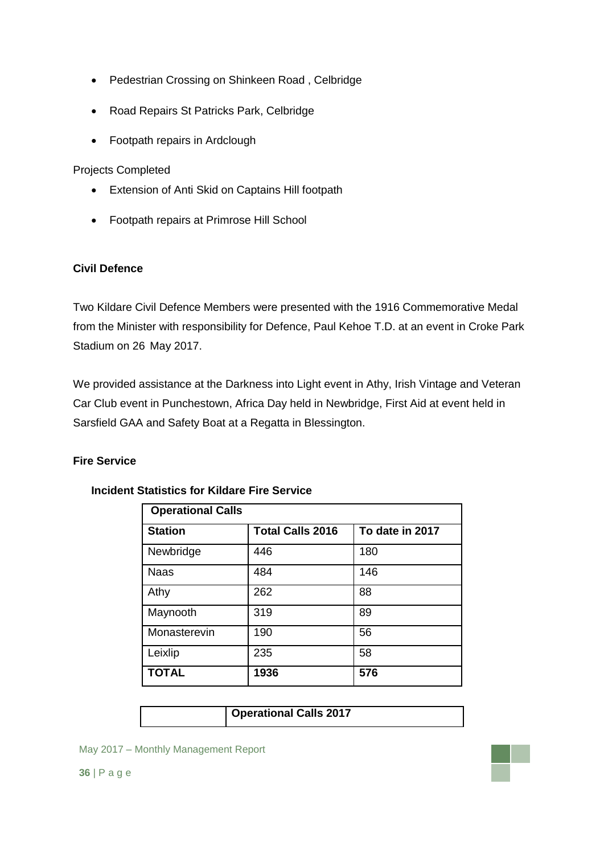- Pedestrian Crossing on Shinkeen Road , Celbridge
- Road Repairs St Patricks Park, Celbridge
- Footpath repairs in Ardclough

Projects Completed

- Extension of Anti Skid on Captains Hill footpath
- Footpath repairs at Primrose Hill School

## **Civil Defence**

Two Kildare Civil Defence Members were presented with the 1916 Commemorative Medal from the Minister with responsibility for Defence, Paul Kehoe T.D. at an event in Croke Park Stadium on 26 May 2017.

We provided assistance at the Darkness into Light event in Athy, Irish Vintage and Veteran Car Club event in Punchestown, Africa Day held in Newbridge, First Aid at event held in Sarsfield GAA and Safety Boat at a Regatta in Blessington.

## **Fire Service**

| <b>Operational Calls</b> |                         |                 |  |  |  |
|--------------------------|-------------------------|-----------------|--|--|--|
| <b>Station</b>           | <b>Total Calls 2016</b> | To date in 2017 |  |  |  |
| Newbridge                | 446                     | 180             |  |  |  |
| <b>Naas</b>              | 484                     | 146             |  |  |  |
| Athy                     | 262                     | 88              |  |  |  |
| Maynooth                 | 319                     | 89              |  |  |  |
| Monasterevin             | 190                     | 56              |  |  |  |
| Leixlip                  | 235                     | 58              |  |  |  |
| <b>TOTAL</b>             | 1936                    | 576             |  |  |  |

### **Incident Statistics for Kildare Fire Service**

| <b>Operational Calls 2017</b> |  |
|-------------------------------|--|
|-------------------------------|--|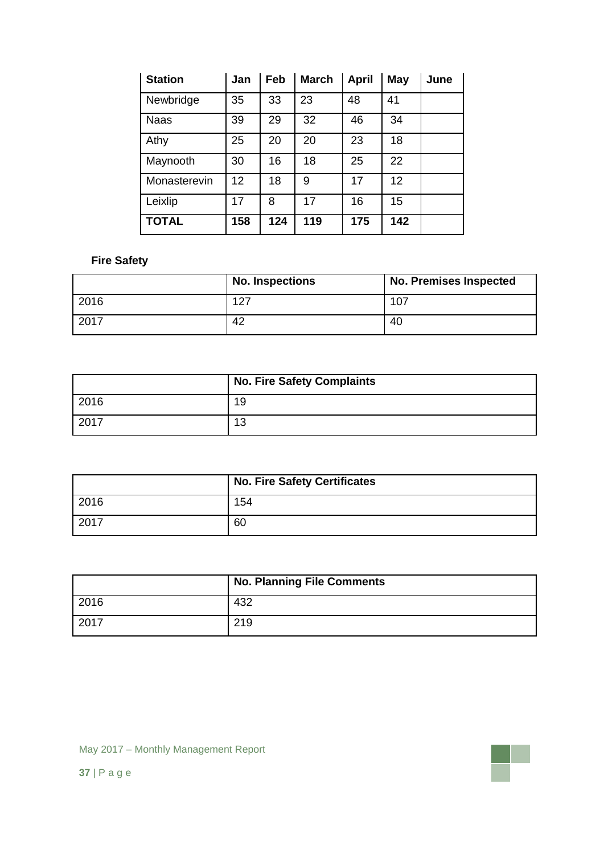| <b>Station</b> | Jan | Feb | <b>March</b> | <b>April</b> | May | June |
|----------------|-----|-----|--------------|--------------|-----|------|
| Newbridge      | 35  | 33  | 23           | 48           | 41  |      |
| <b>Naas</b>    | 39  | 29  | 32           | 46           | 34  |      |
| Athy           | 25  | 20  | 20           | 23           | 18  |      |
| Maynooth       | 30  | 16  | 18           | 25           | 22  |      |
| Monasterevin   | 12  | 18  | 9            | 17           | 12  |      |
| Leixlip        | 17  | 8   | 17           | 16           | 15  |      |
| <b>TOTAL</b>   | 158 | 124 | 119          | 175          | 142 |      |

## **Fire Safety**

|      | <b>No. Inspections</b> | <b>No. Premises Inspected</b> |  |  |  |
|------|------------------------|-------------------------------|--|--|--|
| 2016 | 127                    | 107                           |  |  |  |
| 2017 | 42                     | 40                            |  |  |  |

|      | No. Fire Safety Complaints |
|------|----------------------------|
| 2016 | 19                         |
| 2017 | 13                         |

|      | <b>No. Fire Safety Certificates</b> |
|------|-------------------------------------|
| 2016 | 154                                 |
| 2017 | 60                                  |

|      | <b>No. Planning File Comments</b> |
|------|-----------------------------------|
| 2016 | 432                               |
| 2017 | 219                               |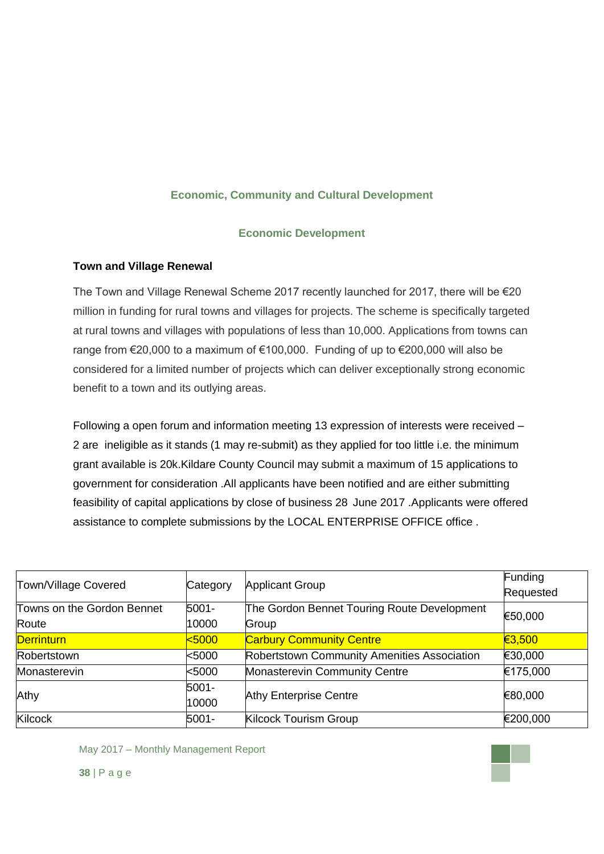## **Economic, Community and Cultural Development**

### **Economic Development**

## **Town and Village Renewal**

The Town and Village Renewal Scheme 2017 recently launched for 2017, there will be €20 million in funding for rural towns and villages for projects. The scheme is specifically targeted at rural towns and villages with populations of less than 10,000. Applications from towns can range from  $\epsilon$ 20,000 to a maximum of  $\epsilon$ 100,000. Funding of up to  $\epsilon$ 200,000 will also be considered for a limited number of projects which can deliver exceptionally strong economic benefit to a town and its outlying areas.

Following a open forum and information meeting 13 expression of interests were received – 2 are ineligible as it stands (1 may re-submit) as they applied for too little i.e. the minimum grant available is 20k.Kildare County Council may submit a maximum of 15 applications to government for consideration .All applicants have been notified and are either submitting feasibility of capital applications by close of business 28 June 2017 .Applicants were offered assistance to complete submissions by the LOCAL ENTERPRISE OFFICE office .

| Town/Village Covered                | Category       | <b>Applicant Group</b>                               | Funding<br>Requested |
|-------------------------------------|----------------|------------------------------------------------------|----------------------|
| Towns on the Gordon Bennet<br>Route | 5001-<br>10000 | The Gordon Bennet Touring Route Development<br>Group | €50,000              |
| <b>Derrinturn</b>                   | 5000           | <b>Carbury Community Centre</b>                      | €3,500               |
| Robertstown                         | $5000$         | Robertstown Community Amenities Association          | €30,000              |
| Monasterevin                        | $5000$         | <b>Monasterevin Community Centre</b>                 | €175,000             |
| Athy                                | 5001-<br>10000 | <b>Athy Enterprise Centre</b>                        | €80,000              |
| Kilcock                             | 5001-          | <b>Kilcock Tourism Group</b>                         | €200,000             |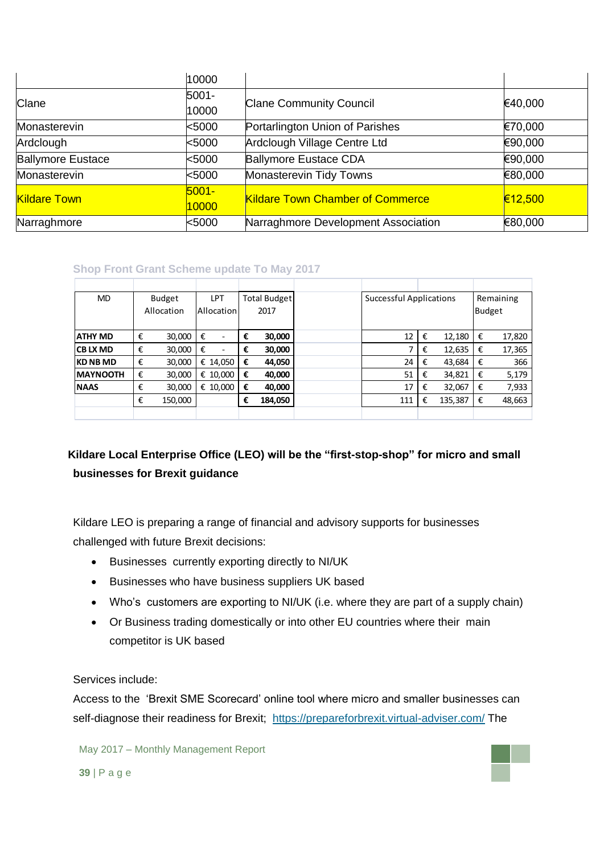|                          | 10000             |                                         |         |
|--------------------------|-------------------|-----------------------------------------|---------|
| <b>Clane</b>             | 5001-<br>10000    | <b>Clane Community Council</b>          | €40,000 |
| Monasterevin             | $5000$            | Portarlington Union of Parishes         | €70,000 |
| Ardclough                | $5000$            | Ardclough Village Centre Ltd            | €90,000 |
| <b>Ballymore Eustace</b> | $5000$            | <b>Ballymore Eustace CDA</b>            | €90,000 |
| Monasterevin             | $5000$            | Monasterevin Tidy Towns                 | €80,000 |
| <b>Kildare Town</b>      | $5001 -$<br>10000 | <b>Kildare Town Chamber of Commerce</b> | €12,500 |
| Narraghmore              | $5000$            | Narraghmore Development Association     | €80,000 |

## **Shop Front Grant Scheme update To May 2017**

| <b>MD</b>        |   | Budget     |   | <b>LPT</b>               | <b>Total Budget</b> |         | <b>Successful Applications</b> |     |   | Remaining     |   |        |
|------------------|---|------------|---|--------------------------|---------------------|---------|--------------------------------|-----|---|---------------|---|--------|
|                  |   | Allocation |   | Allocation               |                     | 2017    |                                |     |   | <b>Budget</b> |   |        |
|                  |   |            |   |                          |                     |         |                                |     |   |               |   |        |
| <b>ATHY MD</b>   | € | 30,000     | € | $\overline{\phantom{a}}$ | €                   | 30,000  |                                | 12  | € | 12,180        | € | 17,820 |
| ICB LX MD        | € | 30,000     | € | $\overline{\phantom{a}}$ | €                   | 30,000  |                                |     | € | 12,635        | € | 17,365 |
| <b>KD NB MD</b>  | € | 30,000     |   | € 14,050                 | €                   | 44,050  |                                | 24  | € | 43,684        | € | 366    |
| <b>IMAYNOOTH</b> | € | 30,000     |   | € 10,000                 | €                   | 40,000  |                                | 51  | € | 34,821        | € | 5,179  |
| <b>NAAS</b>      | € | 30,000     |   | € 10,000                 | €                   | 40,000  |                                | 17  | € | 32,067        | € | 7,933  |
|                  | € | 150,000    |   |                          | €                   | 184,050 |                                | 111 | € | 135,387       | € | 48,663 |
|                  |   |            |   |                          |                     |         |                                |     |   |               |   |        |

# **Kildare Local Enterprise Office (LEO) will be the "first-stop-shop" for micro and small businesses for Brexit guidance**

Kildare LEO is preparing a range of financial and advisory supports for businesses challenged with future Brexit decisions:

- Businesses currently exporting directly to NI/UK
- Businesses who have business suppliers UK based
- Who's customers are exporting to NI/UK (i.e. where they are part of a supply chain)
- Or Business trading domestically or into other EU countries where their main competitor is UK based

### Services include:

Access to the 'Brexit SME Scorecard' online tool where micro and smaller businesses can self-diagnose their readiness for Brexit; <https://prepareforbrexit.virtual-adviser.com/> The

May 2017 – Monthly Management Report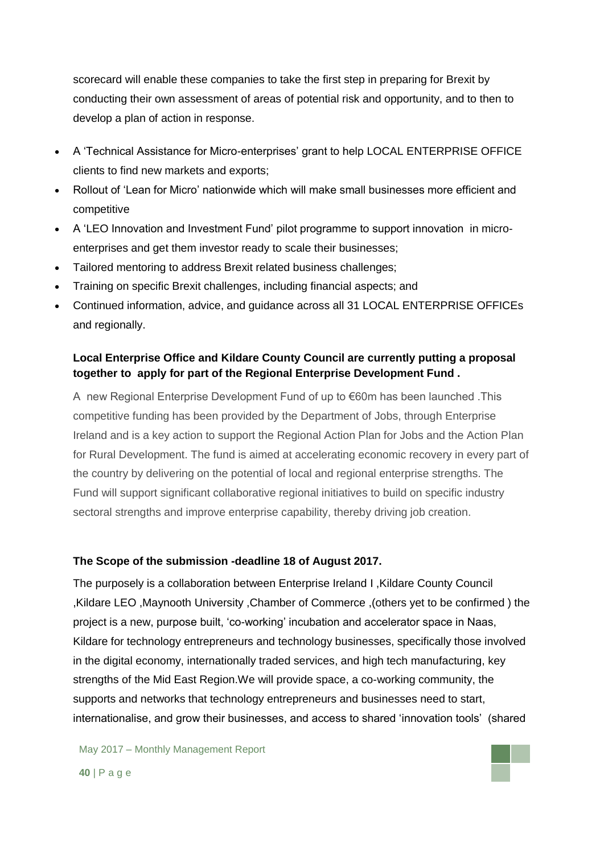scorecard will enable these companies to take the first step in preparing for Brexit by conducting their own assessment of areas of potential risk and opportunity, and to then to develop a plan of action in response.

- A 'Technical Assistance for Micro-enterprises' grant to help LOCAL ENTERPRISE OFFICE clients to find new markets and exports;
- Rollout of 'Lean for Micro' nationwide which will make small businesses more efficient and competitive
- A 'LEO Innovation and Investment Fund' pilot programme to support innovation in microenterprises and get them investor ready to scale their businesses;
- Tailored mentoring to address Brexit related business challenges;
- Training on specific Brexit challenges, including financial aspects; and
- Continued information, advice, and guidance across all 31 LOCAL ENTERPRISE OFFICEs and regionally.

## **Local Enterprise Office and Kildare County Council are currently putting a proposal together to apply for part of the Regional Enterprise Development Fund .**

A new Regional Enterprise Development Fund of up to €60m has been launched .This competitive funding has been provided by the Department of Jobs, through Enterprise Ireland and is a key action to support the Regional Action Plan for Jobs and the Action Plan for Rural Development. The fund is aimed at accelerating economic recovery in every part of the country by delivering on the potential of local and regional enterprise strengths. The Fund will support significant collaborative regional initiatives to build on specific industry sectoral strengths and improve enterprise capability, thereby driving job creation.

### **The Scope of the submission -deadline 18 of August 2017.**

The purposely is a collaboration between Enterprise Ireland I ,Kildare County Council ,Kildare LEO ,Maynooth University ,Chamber of Commerce ,(others yet to be confirmed ) the project is a new, purpose built, 'co-working' incubation and accelerator space in Naas, Kildare for technology entrepreneurs and technology businesses, specifically those involved in the digital economy, internationally traded services, and high tech manufacturing, key strengths of the Mid East Region.We will provide space, a co-working community, the supports and networks that technology entrepreneurs and businesses need to start, internationalise, and grow their businesses, and access to shared 'innovation tools' (shared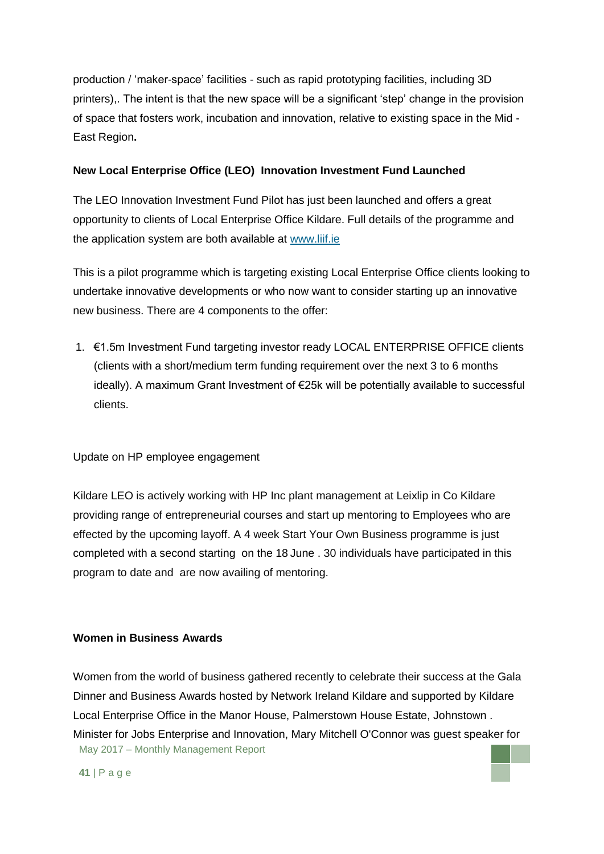production / 'maker-space' facilities - such as rapid prototyping facilities, including 3D printers),. The intent is that the new space will be a significant 'step' change in the provision of space that fosters work, incubation and innovation, relative to existing space in the Mid - East Region**.**

## **New Local Enterprise Office (LEO) Innovation Investment Fund Launched**

The LEO Innovation Investment Fund Pilot has just been launched and offers a great opportunity to clients of Local Enterprise Office Kildare. Full details of the programme and the application system are both available at [www.liif.ie](http://www.liif.ie/)

This is a pilot programme which is targeting existing Local Enterprise Office clients looking to undertake innovative developments or who now want to consider starting up an innovative new business. There are 4 components to the offer:

1. €1.5m Investment Fund targeting investor ready LOCAL ENTERPRISE OFFICE clients (clients with a short/medium term funding requirement over the next 3 to 6 months ideally). A maximum Grant Investment of €25k will be potentially available to successful clients.

## Update on HP employee engagement

Kildare LEO is actively working with HP Inc plant management at Leixlip in Co Kildare providing range of entrepreneurial courses and start up mentoring to Employees who are effected by the upcoming layoff. A 4 week Start Your Own Business programme is just completed with a second starting on the 18 June . 30 individuals have participated in this program to date and are now availing of mentoring.

### **Women in Business Awards**

May 2017 – Monthly Management Report Women from the world of business gathered recently to celebrate their success at the Gala Dinner and Business Awards hosted by Network Ireland Kildare and supported by Kildare Local Enterprise Office in the Manor House, Palmerstown House Estate, Johnstown . Minister for Jobs Enterprise and Innovation, Mary Mitchell O'Connor was guest speaker for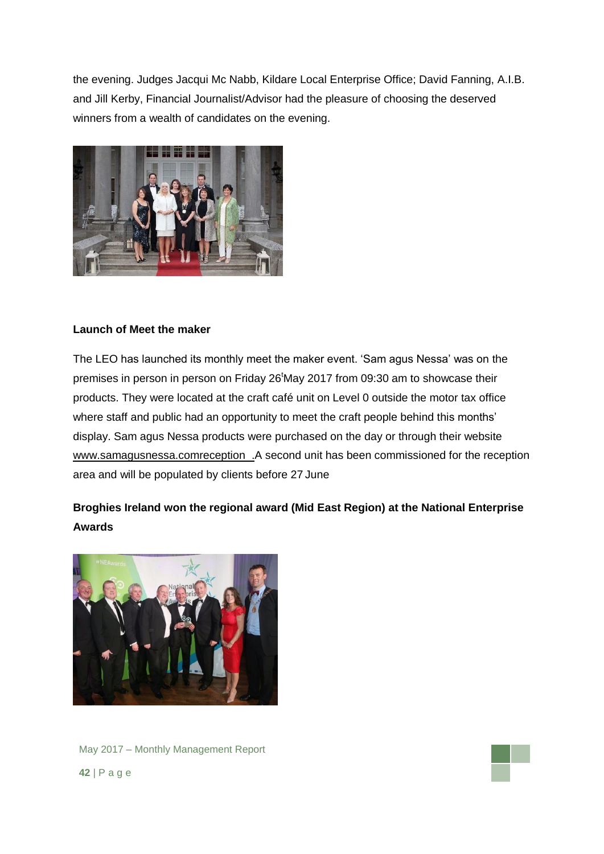the evening. Judges Jacqui Mc Nabb, Kildare Local Enterprise Office; David Fanning, A.I.B. and Jill Kerby, Financial Journalist/Advisor had the pleasure of choosing the deserved winners from a wealth of candidates on the evening.



## **Launch of Meet the maker**

The LEO has launched its monthly meet the maker event. 'Sam agus Nessa' was on the premises in person in person on Friday 26<sup>t</sup>May 2017 from 09:30 am to showcase their products. They were located at the craft café unit on Level 0 outside the motor tax office where staff and public had an opportunity to meet the craft people behind this months' display. Sam agus Nessa products were purchased on the day or through their website [www.samagusnessa.comreception](http://www.samagusnessa.comreception/) .A second unit has been commissioned for the reception area and will be populated by clients before 27 June

# **Broghies Ireland won the regional award (Mid East Region) at the National Enterprise Awards**



May 2017 – Monthly Management Report **42** | P a g e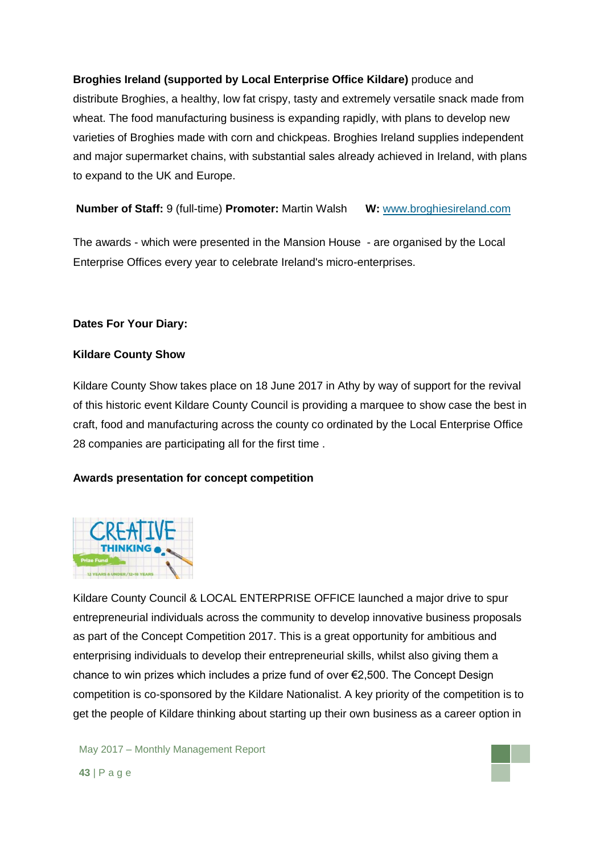## **Broghies Ireland (supported by Local Enterprise Office Kildare)** produce and

distribute Broghies, a healthy, low fat crispy, tasty and extremely versatile snack made from wheat. The food manufacturing business is expanding rapidly, with plans to develop new varieties of Broghies made with corn and chickpeas. Broghies Ireland supplies independent and major supermarket chains, with substantial sales already achieved in Ireland, with plans to expand to the UK and Europe.

## **Number of Staff:** 9 (full-time) **Promoter:** Martin Walsh **W:** [www.broghiesireland.com](http://www.broghiesireland.com/)

The awards - which were presented in the Mansion House - are organised by the Local Enterprise Offices every year to celebrate Ireland's micro-enterprises.

### **Dates For Your Diary:**

### **Kildare County Show**

Kildare County Show takes place on 18 June 2017 in Athy by way of support for the revival of this historic event Kildare County Council is providing a marquee to show case the best in craft, food and manufacturing across the county co ordinated by the Local Enterprise Office 28 companies are participating all for the first time .

## **Awards presentation for concept competition**



Kildare County Council & LOCAL ENTERPRISE OFFICE launched a major drive to spur entrepreneurial individuals across the community to develop innovative business proposals as part of the Concept Competition 2017. This is a great opportunity for ambitious and enterprising individuals to develop their entrepreneurial skills, whilst also giving them a chance to win prizes which includes a prize fund of over €2,500. The Concept Design competition is co-sponsored by the Kildare Nationalist. A key priority of the competition is to get the people of Kildare thinking about starting up their own business as a career option in

May 2017 – Monthly Management Report **43** | P a g e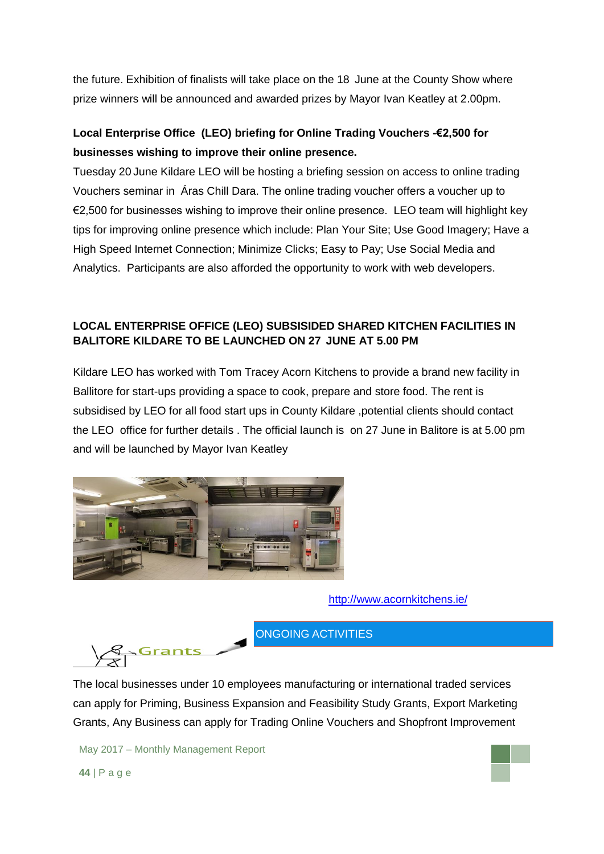the future. Exhibition of finalists will take place on the 18 June at the County Show where prize winners will be announced and awarded prizes by Mayor Ivan Keatley at 2.00pm.

# **Local Enterprise Office (LEO) briefing for Online Trading Vouchers -€2,500 for businesses wishing to improve their online presence.**

Tuesday 20 June Kildare LEO will be hosting a briefing session on access to online trading Vouchers seminar in Áras Chill Dara. The online trading voucher offers a voucher up to €2,500 for businesses wishing to improve their online presence. LEO team will highlight key tips for improving online presence which include: Plan Your Site; Use Good Imagery; Have a High Speed Internet Connection; Minimize Clicks; Easy to Pay; Use Social Media and Analytics. Participants are also afforded the opportunity to work with web developers.

## **LOCAL ENTERPRISE OFFICE (LEO) SUBSISIDED SHARED KITCHEN FACILITIES IN BALITORE KILDARE TO BE LAUNCHED ON 27 JUNE AT 5.00 PM**

Kildare LEO has worked with Tom Tracey Acorn Kitchens to provide a brand new facility in Ballitore for start-ups providing a space to cook, prepare and store food. The rent is subsidised by LEO for all food start ups in County Kildare ,potential clients should contact the LEO office for further details . The official launch is on 27 June in Balitore is at 5.00 pm and will be launched by Mayor Ivan Keatley



<http://www.acornkitchens.ie/>

ONGOING ACTIVITIES

The local businesses under 10 employees manufacturing or international traded services can apply for Priming, Business Expansion and Feasibility Study Grants, Export Marketing Grants, Any Business can apply for Trading Online Vouchers and Shopfront Improvement

May 2017 – Monthly Management Report

**Grants**